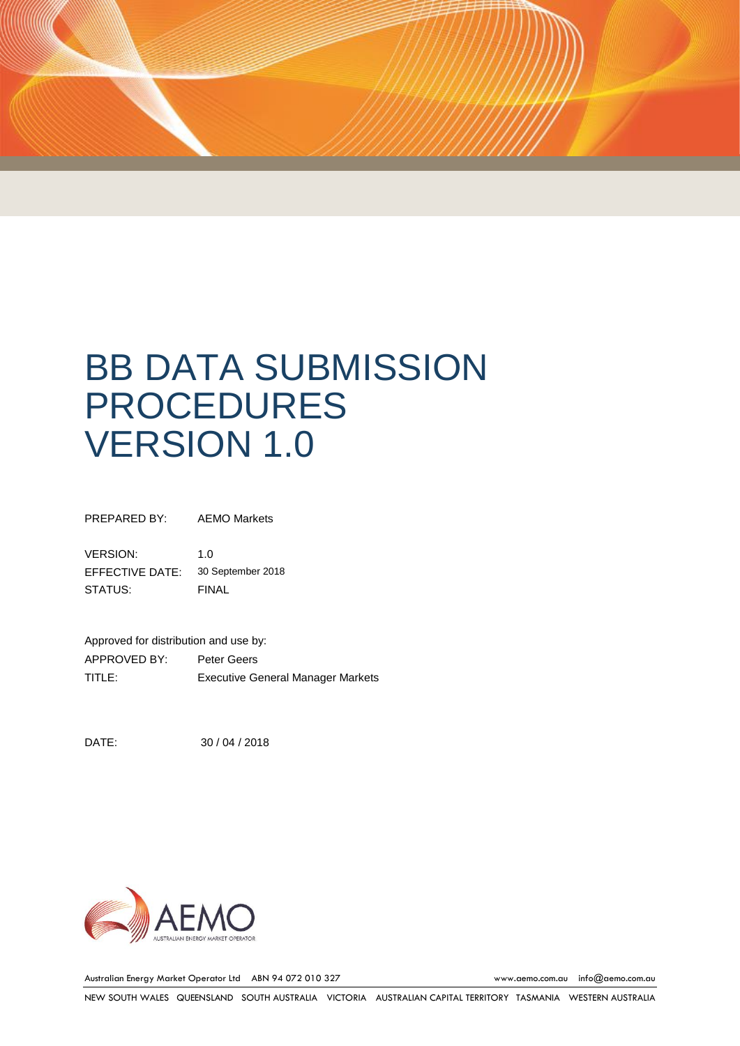

PREPARED BY: AEMO Markets

VERSION: 1.0 EFFECTIVE DATE: 30 September 2018 STATUS: FINAL

Approved for distribution and use by: APPROVED BY: Peter Geers TITLE: Executive General Manager Markets

DATE: 30 / 04 / 2018



Australian Energy Market Operator Ltd ABN 94 072 010 327 [www.aemo.com.au](http://www.aemo.com.au/) [info@aemo.com.au](mailto:info@aemo.com.au)

NEW SOUTH WALES QUEENSLAND SOUTH AUSTRALIA VICTORIA AUSTRALIAN CAPITAL TERRITORY TASMANIA WESTERN AUSTRALIA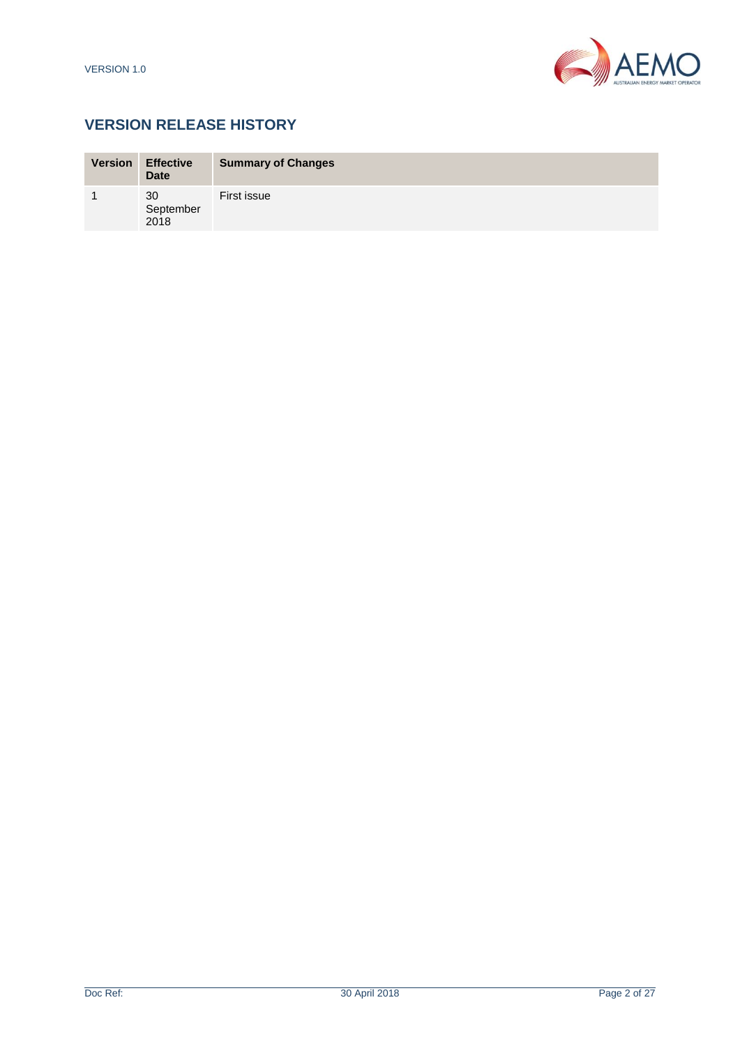

# **VERSION RELEASE HISTORY**

| <b>Version</b>          | <b>Effective</b><br><b>Date</b> | <b>Summary of Changes</b> |
|-------------------------|---------------------------------|---------------------------|
| $\overline{\mathbf{A}}$ | 30<br>September<br>2018         | First issue               |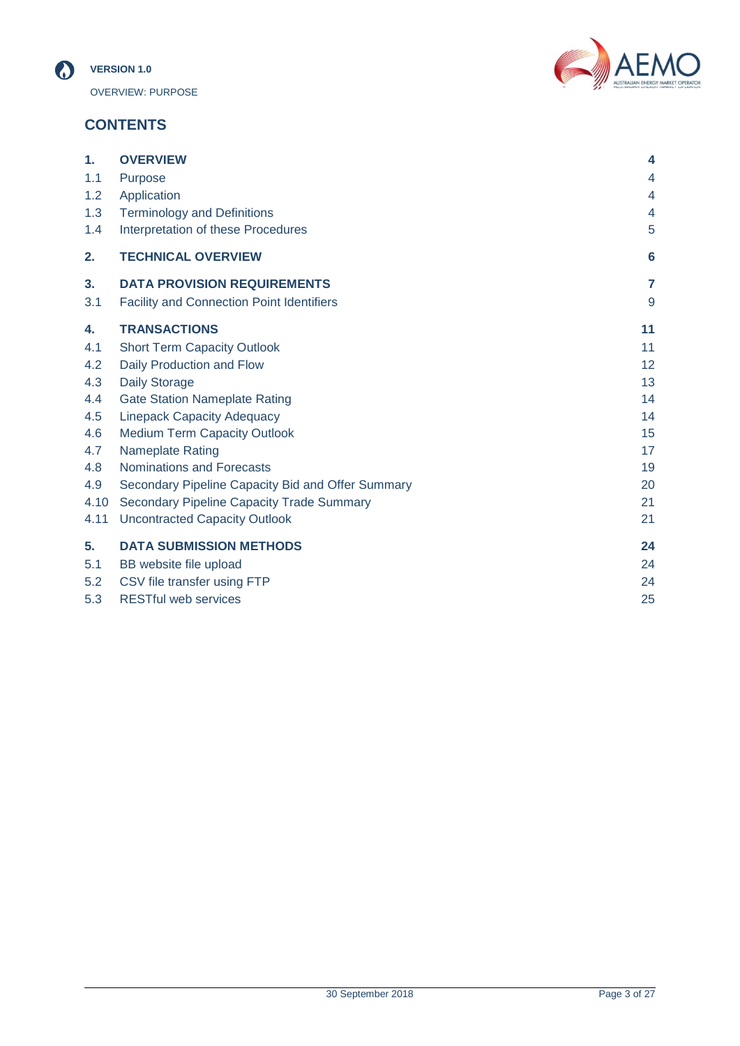



# **CONTENTS**

| 1.   | <b>OVERVIEW</b>                                   | 4                 |
|------|---------------------------------------------------|-------------------|
| 1.1  | Purpose                                           | 4                 |
| 1.2  | Application                                       | $\overline{4}$    |
| 1.3  | <b>Terminology and Definitions</b>                | 4                 |
| 1.4  | Interpretation of these Procedures                | 5                 |
| 2.   | <b>TECHNICAL OVERVIEW</b>                         | 6                 |
| 3.   | <b>DATA PROVISION REQUIREMENTS</b>                | $\overline{7}$    |
| 3.1  | <b>Facility and Connection Point Identifiers</b>  | 9                 |
| 4.   | <b>TRANSACTIONS</b>                               | 11                |
| 4.1  | <b>Short Term Capacity Outlook</b>                | 11                |
| 4.2  | Daily Production and Flow                         | $12 \overline{ }$ |
| 4.3  | <b>Daily Storage</b>                              | 13                |
| 4.4  | <b>Gate Station Nameplate Rating</b>              | 14                |
| 4.5  | <b>Linepack Capacity Adequacy</b>                 | 14                |
| 4.6  | <b>Medium Term Capacity Outlook</b>               | 15                |
| 4.7  | <b>Nameplate Rating</b>                           | 17                |
| 4.8  | <b>Nominations and Forecasts</b>                  | 19                |
| 4.9  | Secondary Pipeline Capacity Bid and Offer Summary | 20                |
| 4.10 | <b>Secondary Pipeline Capacity Trade Summary</b>  | 21                |
| 4.11 | <b>Uncontracted Capacity Outlook</b>              | 21                |
| 5.   | <b>DATA SUBMISSION METHODS</b>                    | 24                |
| 5.1  | BB website file upload                            | 24                |
| 5.2  | CSV file transfer using FTP                       | 24                |
| 5.3  | <b>RESTful web services</b>                       | 25                |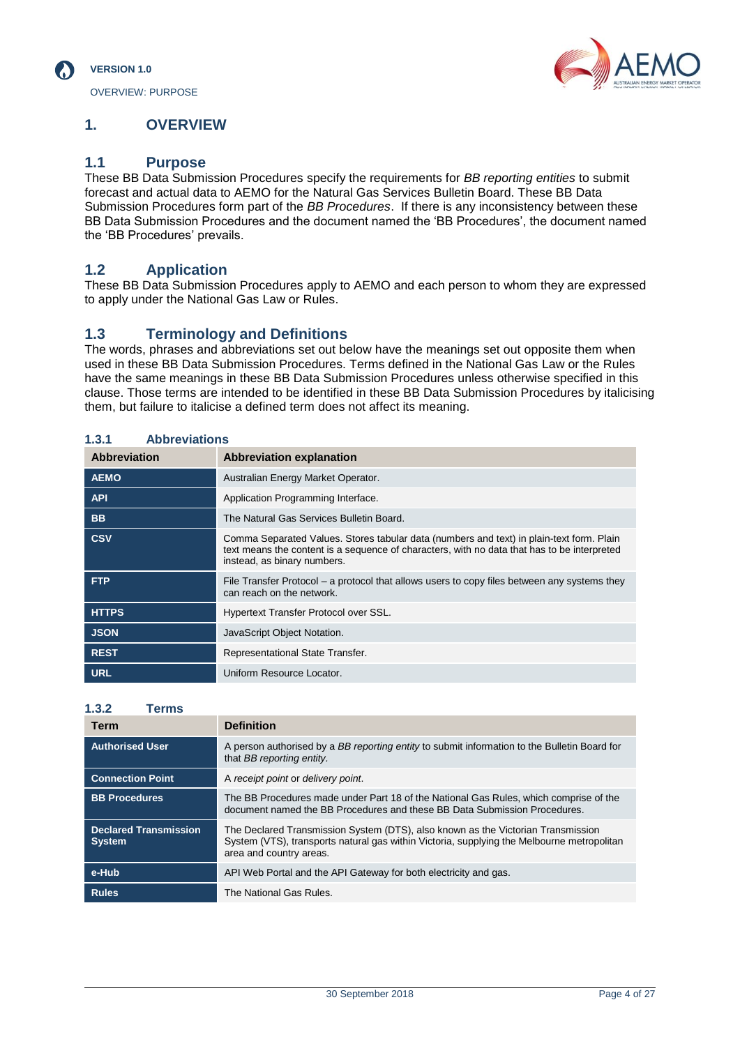

OVERVIEW: PURPOSE

# <span id="page-3-0"></span>**1. OVERVIEW**

# <span id="page-3-1"></span>**1.1 Purpose**

These BB Data Submission Procedures specify the requirements for *BB reporting entities* to submit forecast and actual data to AEMO for the Natural Gas Services Bulletin Board. These BB Data Submission Procedures form part of the *BB Procedures*. If there is any inconsistency between these BB Data Submission Procedures and the document named the 'BB Procedures', the document named the 'BB Procedures' prevails.

# <span id="page-3-2"></span>**1.2 Application**

These BB Data Submission Procedures apply to AEMO and each person to whom they are expressed to apply under the National Gas Law or Rules.

# <span id="page-3-3"></span>**1.3 Terminology and Definitions**

The words, phrases and abbreviations set out below have the meanings set out opposite them when used in these BB Data Submission Procedures. Terms defined in the National Gas Law or the Rules have the same meanings in these BB Data Submission Procedures unless otherwise specified in this clause. Those terms are intended to be identified in these BB Data Submission Procedures by italicising them, but failure to italicise a defined term does not affect its meaning.

#### **1.3.1 Abbreviations**

| <b>Abbreviation</b> | <b>Abbreviation explanation</b>                                                                                                                                                                                        |
|---------------------|------------------------------------------------------------------------------------------------------------------------------------------------------------------------------------------------------------------------|
| <b>AEMO</b>         | Australian Energy Market Operator.                                                                                                                                                                                     |
| <b>API</b>          | <b>Application Programming Interface.</b>                                                                                                                                                                              |
| <b>BB</b>           | The Natural Gas Services Bulletin Board.                                                                                                                                                                               |
| <b>CSV</b>          | Comma Separated Values. Stores tabular data (numbers and text) in plain-text form. Plain<br>text means the content is a sequence of characters, with no data that has to be interpreted<br>instead, as binary numbers. |
| <b>FTP</b>          | File Transfer Protocol – a protocol that allows users to copy files between any systems they<br>can reach on the network.                                                                                              |
| <b>HTTPS</b>        | <b>Hypertext Transfer Protocol over SSL.</b>                                                                                                                                                                           |
| <b>JSON</b>         | JavaScript Object Notation.                                                                                                                                                                                            |
| <b>REST</b>         | Representational State Transfer.                                                                                                                                                                                       |
| <b>URL</b>          | Uniform Resource Locator.                                                                                                                                                                                              |

| 1.3.2<br>Terms                                |                                                                                                                                                                                                           |
|-----------------------------------------------|-----------------------------------------------------------------------------------------------------------------------------------------------------------------------------------------------------------|
| <b>Term</b>                                   | <b>Definition</b>                                                                                                                                                                                         |
| <b>Authorised User</b>                        | A person authorised by a BB reporting entity to submit information to the Bulletin Board for<br>that BB reporting entity.                                                                                 |
| <b>Connection Point</b>                       | A receipt point or delivery point.                                                                                                                                                                        |
| <b>BB Procedures</b>                          | The BB Procedures made under Part 18 of the National Gas Rules, which comprise of the<br>document named the BB Procedures and these BB Data Submission Procedures.                                        |
| <b>Declared Transmission</b><br><b>System</b> | The Declared Transmission System (DTS), also known as the Victorian Transmission<br>System (VTS), transports natural gas within Victoria, supplying the Melbourne metropolitan<br>area and country areas. |
| e-Hub                                         | API Web Portal and the API Gateway for both electricity and gas.                                                                                                                                          |
| <b>Rules</b>                                  | The National Gas Rules.                                                                                                                                                                                   |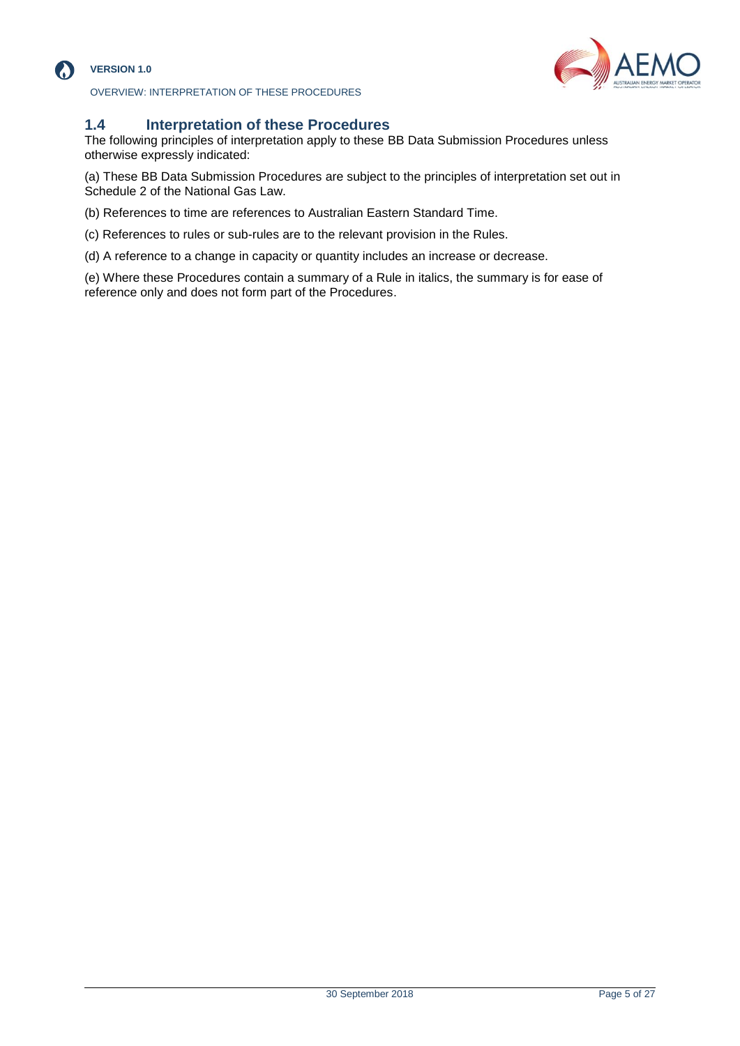

### **VERSION 1.0**

OVERVIEW: INTERPRETATION OF THESE PROCEDURES



# <span id="page-4-0"></span>**1.4 Interpretation of these Procedures**

The following principles of interpretation apply to these BB Data Submission Procedures unless otherwise expressly indicated:

(a) These BB Data Submission Procedures are subject to the principles of interpretation set out in Schedule 2 of the National Gas Law.

(b) References to time are references to Australian Eastern Standard Time.

(c) References to rules or sub-rules are to the relevant provision in the Rules.

(d) A reference to a change in capacity or quantity includes an increase or decrease.

(e) Where these Procedures contain a summary of a Rule in italics, the summary is for ease of reference only and does not form part of the Procedures.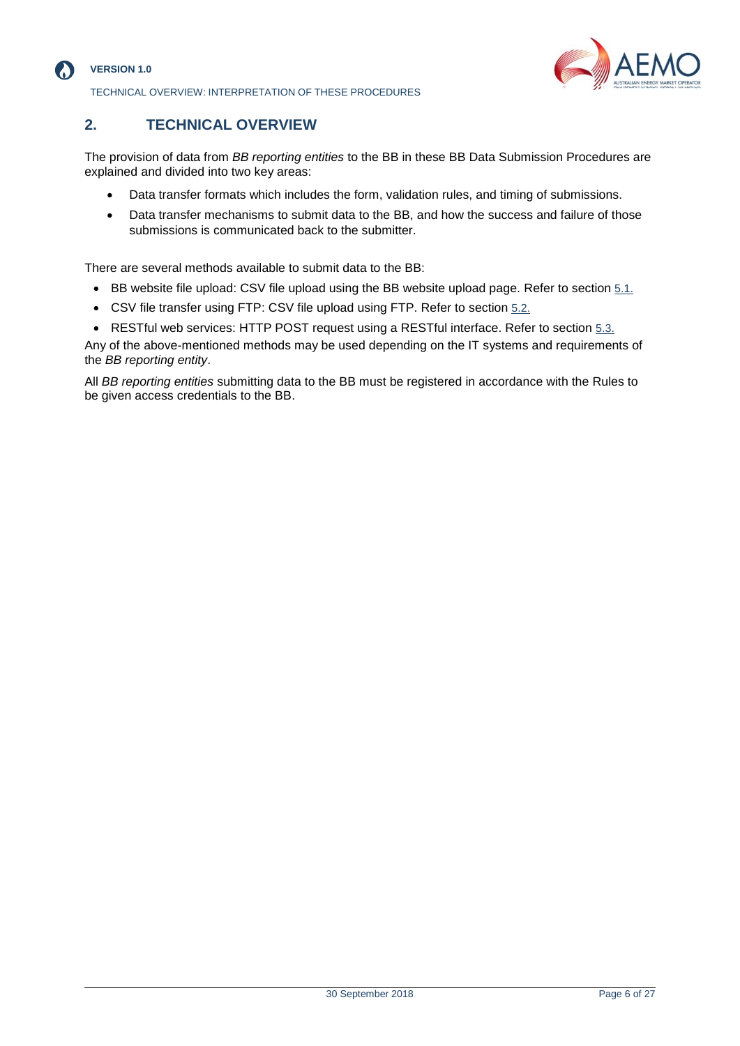

## **VERSION 1.0**

TECHNICAL OVERVIEW: INTERPRETATION OF THESE PROCEDURES



# <span id="page-5-0"></span>**2. TECHNICAL OVERVIEW**

The provision of data from *BB reporting entities* to the BB in these BB Data Submission Procedures are explained and divided into two key areas:

- Data transfer formats which includes the form, validation rules, and timing of submissions.
- Data transfer mechanisms to submit data to the BB, and how the success and failure of those submissions is communicated back to the submitter.

There are several methods available to submit data to the BB:

- BB website file upload: CSV file upload using the BB website upload page. Refer to section [5.1.](#page-23-1)
- CSV file transfer using FTP: CSV file upload using FTP. Refer to section [5.2.](#page-23-2)
- RESTful web services: HTTP POST request using a RESTful interface. Refer to section [5.3.](#page-24-0)

Any of the above-mentioned methods may be used depending on the IT systems and requirements of the *BB reporting entity*.

All *BB reporting entities* submitting data to the BB must be registered in accordance with the Rules to be given access credentials to the BB.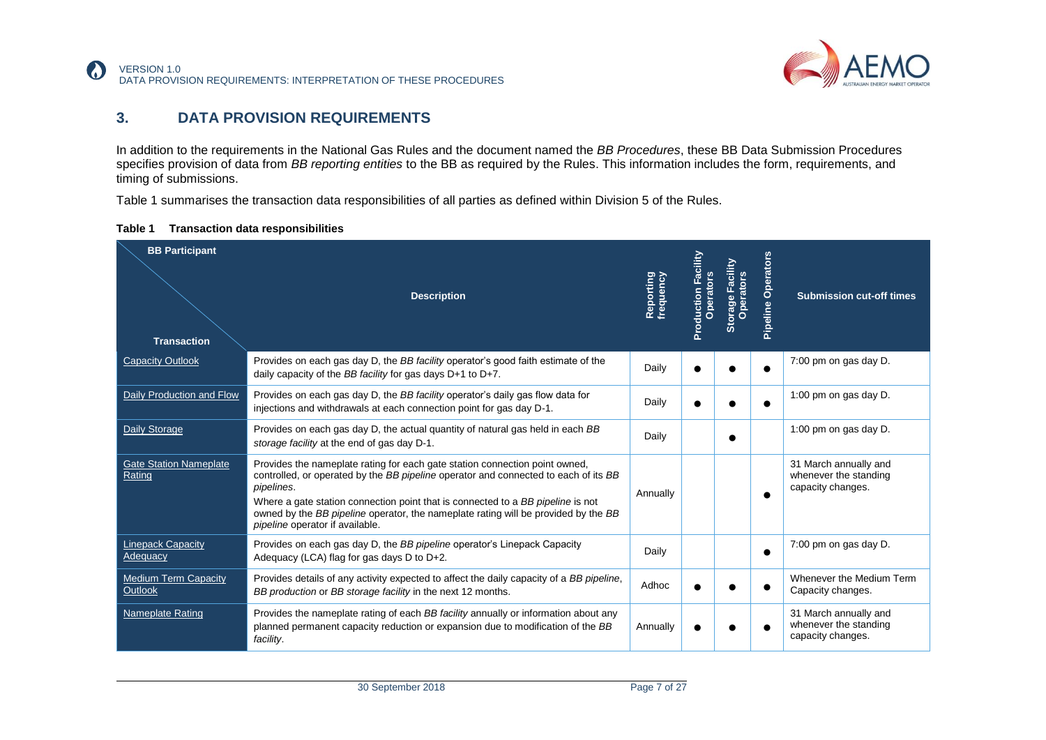

# **3. DATA PROVISION REQUIREMENTS**

In addition to the requirements in the National Gas Rules and the document named the *BB Procedures*, these BB Data Submission Procedures specifies provision of data from *BB reporting entities* to the BB as required by the Rules. This information includes the form, requirements, and timing of submissions.

[Table 1](#page-6-1) summarises the transaction data responsibilities of all parties as defined within Division 5 of the Rules.

<span id="page-6-1"></span>

| Table 1 | <b>Transaction data responsibilities</b> |  |
|---------|------------------------------------------|--|
|---------|------------------------------------------|--|

<span id="page-6-0"></span>

| <b>BB Participant</b><br><b>Transaction</b> | <b>Description</b>                                                                                                                                                                                                                                                                                                                                                                           | Reporting<br>frequency | Production Facility<br>Operators | Storage Facility | Pipeline Operators | <b>Submission cut-off times</b>                                     |
|---------------------------------------------|----------------------------------------------------------------------------------------------------------------------------------------------------------------------------------------------------------------------------------------------------------------------------------------------------------------------------------------------------------------------------------------------|------------------------|----------------------------------|------------------|--------------------|---------------------------------------------------------------------|
| <b>Capacity Outlook</b>                     | Provides on each gas day D, the BB facility operator's good faith estimate of the<br>daily capacity of the BB facility for gas days $D+1$ to $D+7$ .                                                                                                                                                                                                                                         | Daily                  |                                  |                  |                    | 7:00 pm on gas day D.                                               |
| Daily Production and Flow                   | Provides on each gas day D, the BB facility operator's daily gas flow data for<br>injections and withdrawals at each connection point for gas day D-1.                                                                                                                                                                                                                                       | Daily                  |                                  |                  |                    | 1:00 pm on gas day D.                                               |
| Daily Storage                               | Provides on each gas day D, the actual quantity of natural gas held in each BB<br>storage facility at the end of gas day D-1.                                                                                                                                                                                                                                                                | Daily                  |                                  |                  |                    | 1:00 pm on gas day D.                                               |
| <b>Gate Station Nameplate</b><br>Rating     | Provides the nameplate rating for each gate station connection point owned,<br>controlled, or operated by the BB pipeline operator and connected to each of its BB<br>pipelines.<br>Where a gate station connection point that is connected to a BB pipeline is not<br>owned by the BB pipeline operator, the nameplate rating will be provided by the BB<br>pipeline operator if available. | Annually               |                                  |                  |                    | 31 March annually and<br>whenever the standing<br>capacity changes. |
| <b>Linepack Capacity</b><br>Adequacy        | Provides on each gas day D, the BB pipeline operator's Linepack Capacity<br>Adequacy (LCA) flag for gas days D to D+2.                                                                                                                                                                                                                                                                       | Daily                  |                                  |                  |                    | 7:00 pm on gas day D.                                               |
| <b>Medium Term Capacity</b><br>Outlook      | Provides details of any activity expected to affect the daily capacity of a BB pipeline,<br>BB production or BB storage facility in the next 12 months.                                                                                                                                                                                                                                      | Adhoc                  |                                  |                  |                    | Whenever the Medium Term<br>Capacity changes.                       |
| <b>Nameplate Rating</b>                     | Provides the nameplate rating of each BB facility annually or information about any<br>planned permanent capacity reduction or expansion due to modification of the BB<br>facility.                                                                                                                                                                                                          | Annually               |                                  |                  |                    | 31 March annually and<br>whenever the standing<br>capacity changes. |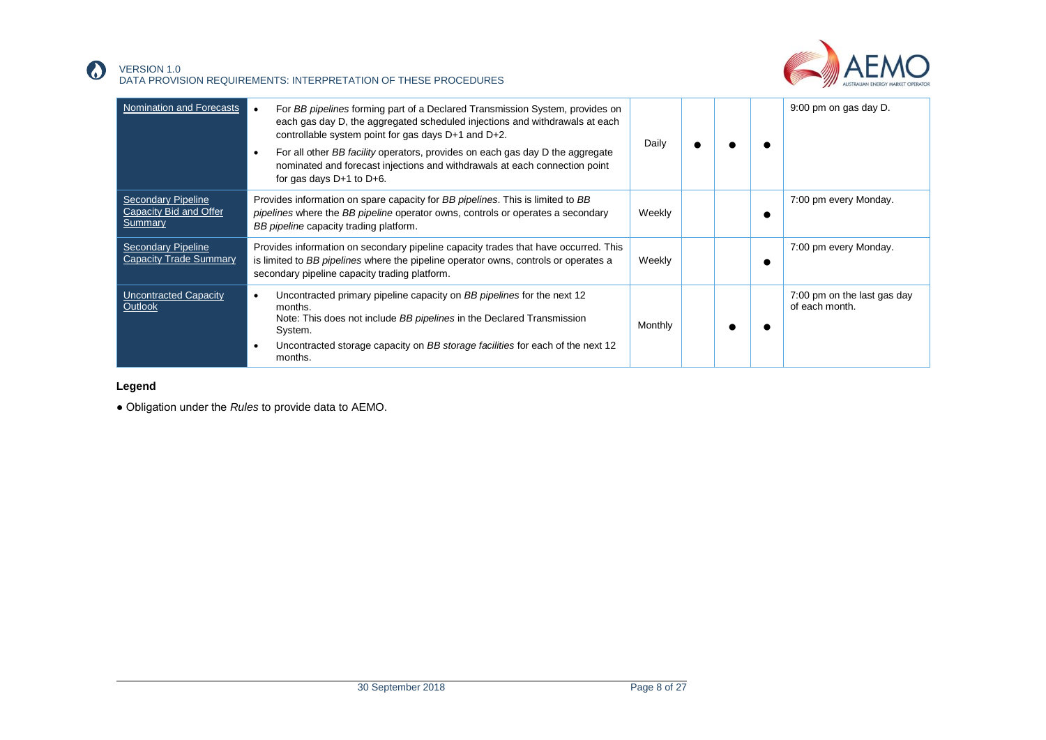

#### VERSION 1.0 DATA PROVISION REQUIREMENTS: INTERPRETATION OF THESE PROCEDURES

| Nomination and Forecasts                                       | For BB pipelines forming part of a Declared Transmission System, provides on<br>each gas day D, the aggregated scheduled injections and withdrawals at each<br>controllable system point for gas days $D+1$ and $D+2$ .<br>For all other BB facility operators, provides on each gas day D the aggregate<br>nominated and forecast injections and withdrawals at each connection point<br>for gas days $D+1$ to $D+6$ . | Daily   |  | 9:00 pm on gas day D.                         |
|----------------------------------------------------------------|-------------------------------------------------------------------------------------------------------------------------------------------------------------------------------------------------------------------------------------------------------------------------------------------------------------------------------------------------------------------------------------------------------------------------|---------|--|-----------------------------------------------|
| <b>Secondary Pipeline</b><br>Capacity Bid and Offer<br>Summary | Provides information on spare capacity for BB pipelines. This is limited to BB<br>pipelines where the BB pipeline operator owns, controls or operates a secondary<br>BB pipeline capacity trading platform.                                                                                                                                                                                                             | Weekly  |  | 7:00 pm every Monday.                         |
| <b>Secondary Pipeline</b><br><b>Capacity Trade Summary</b>     | Provides information on secondary pipeline capacity trades that have occurred. This<br>is limited to BB pipelines where the pipeline operator owns, controls or operates a<br>secondary pipeline capacity trading platform.                                                                                                                                                                                             | Weekly  |  | 7:00 pm every Monday.                         |
| <b>Uncontracted Capacity</b><br>Outlook                        | Uncontracted primary pipeline capacity on BB pipelines for the next 12<br>months.<br>Note: This does not include BB pipelines in the Declared Transmission<br>System.<br>Uncontracted storage capacity on BB storage facilities for each of the next 12<br>months.                                                                                                                                                      | Monthly |  | 7:00 pm on the last gas day<br>of each month. |

### **Legend**

 $\Omega$ 

● Obligation under the *Rules* to provide data to AEMO.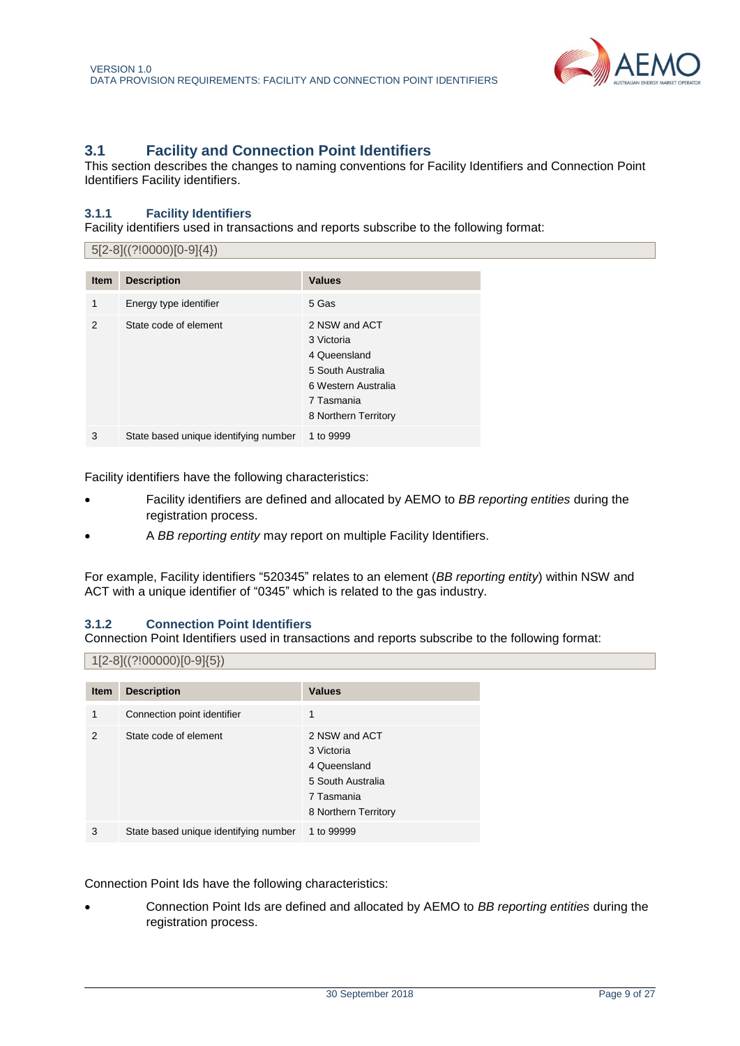

# <span id="page-8-0"></span>**3.1 Facility and Connection Point Identifiers**

This section describes the changes to naming conventions for Facility Identifiers and Connection Point Identifiers Facility identifiers.

## **3.1.1 Facility Identifiers**

Facility identifiers used in transactions and reports subscribe to the following format:

|               | $5[2-8]((?!0000)[0-9]\{4\})$          |                                                                                                                               |  |  |  |
|---------------|---------------------------------------|-------------------------------------------------------------------------------------------------------------------------------|--|--|--|
|               |                                       |                                                                                                                               |  |  |  |
| <b>Item</b>   | <b>Description</b>                    | <b>Values</b>                                                                                                                 |  |  |  |
| 1             | Energy type identifier                | 5 Gas                                                                                                                         |  |  |  |
| $\mathcal{P}$ | State code of element                 | 2 NSW and ACT<br>3 Victoria<br>4 Queensland<br>5 South Australia<br>6 Western Australia<br>7 Tasmania<br>8 Northern Territory |  |  |  |
| 3             | State based unique identifying number | 1 to 9999                                                                                                                     |  |  |  |

Facility identifiers have the following characteristics:

- Facility identifiers are defined and allocated by AEMO to *BB reporting entities* during the registration process.
- A *BB reporting entity* may report on multiple Facility Identifiers.

For example, Facility identifiers "520345" relates to an element (*BB reporting entity*) within NSW and ACT with a unique identifier of "0345" which is related to the gas industry.

## **3.1.2 Connection Point Identifiers**

Connection Point Identifiers used in transactions and reports subscribe to the following format:

### $1[2-8]((?!00000)[0-9]\{5\})$

| <b>Item</b>   | <b>Description</b>                    | <b>Values</b>                                                                                          |
|---------------|---------------------------------------|--------------------------------------------------------------------------------------------------------|
| 1             | Connection point identifier           | 1                                                                                                      |
| $\mathcal{P}$ | State code of element                 | 2 NSW and ACT<br>3 Victoria<br>4 Queensland<br>5 South Australia<br>7 Tasmania<br>8 Northern Territory |
| 3             | State based unique identifying number | 1 to 99999                                                                                             |

Connection Point Ids have the following characteristics:

• Connection Point Ids are defined and allocated by AEMO to *BB reporting entities* during the registration process.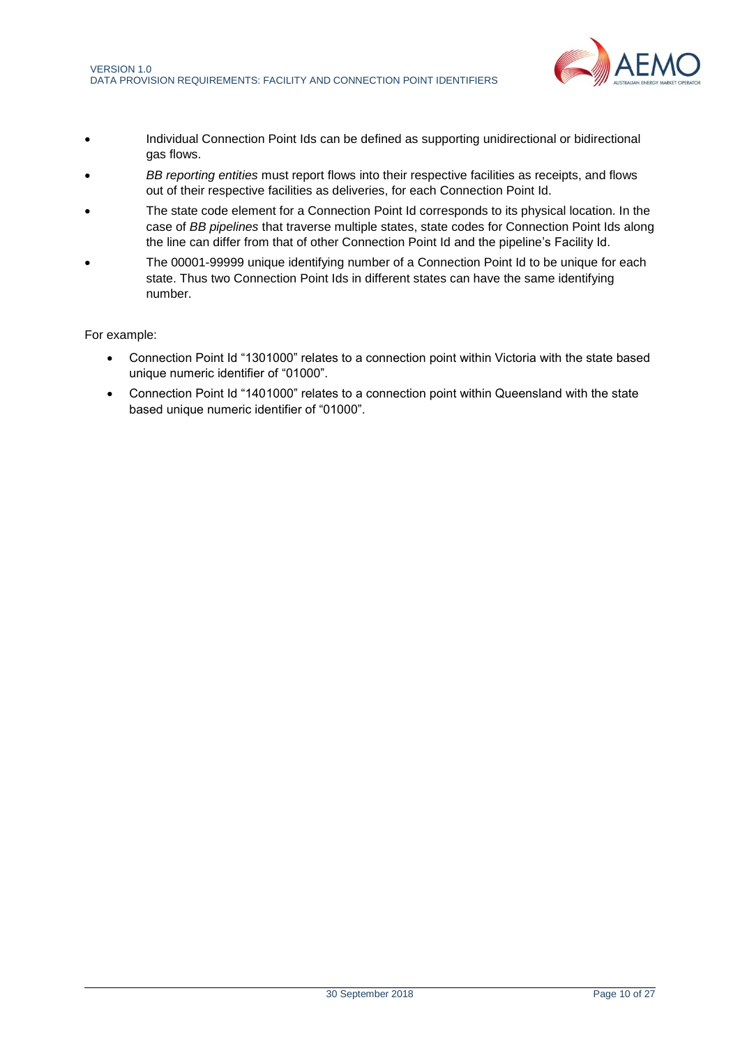

- Individual Connection Point Ids can be defined as supporting unidirectional or bidirectional gas flows.
- *BB reporting entities* must report flows into their respective facilities as receipts, and flows out of their respective facilities as deliveries, for each Connection Point Id.
- The state code element for a Connection Point Id corresponds to its physical location. In the case of *BB pipelines* that traverse multiple states, state codes for Connection Point Ids along the line can differ from that of other Connection Point Id and the pipeline's Facility Id.
- The 00001-99999 unique identifying number of a Connection Point Id to be unique for each state. Thus two Connection Point Ids in different states can have the same identifying number.

### For example:

- Connection Point Id "1301000" relates to a connection point within Victoria with the state based unique numeric identifier of "01000".
- Connection Point Id "1401000" relates to a connection point within Queensland with the state based unique numeric identifier of "01000".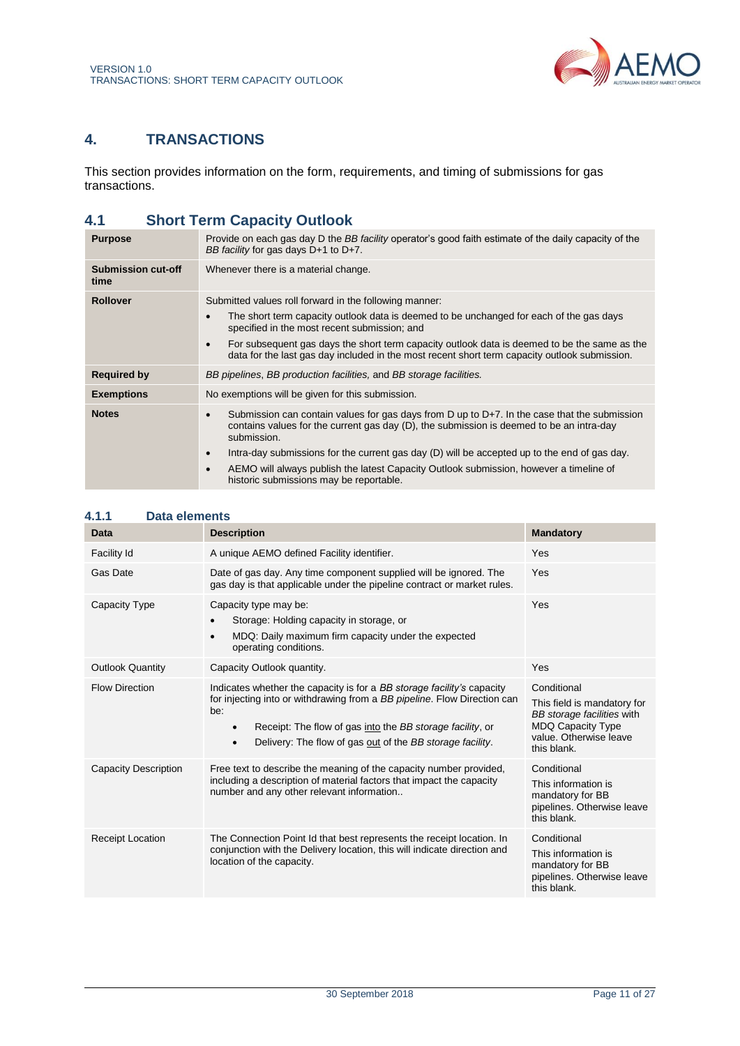

# <span id="page-10-2"></span><span id="page-10-0"></span>**4. TRANSACTIONS**

This section provides information on the form, requirements, and timing of submissions for gas transactions.

# <span id="page-10-1"></span>**4.1 Short Term Capacity Outlook**

| <b>Purpose</b>                    | Provide on each gas day D the <i>BB facility</i> operator's good faith estimate of the daily capacity of the<br>BB facility for gas days $D+1$ to $D+7$ .                                                                                                                                                                                                                                                                                                                   |
|-----------------------------------|-----------------------------------------------------------------------------------------------------------------------------------------------------------------------------------------------------------------------------------------------------------------------------------------------------------------------------------------------------------------------------------------------------------------------------------------------------------------------------|
| <b>Submission cut-off</b><br>time | Whenever there is a material change.                                                                                                                                                                                                                                                                                                                                                                                                                                        |
| <b>Rollover</b>                   | Submitted values roll forward in the following manner:<br>The short term capacity outlook data is deemed to be unchanged for each of the gas days<br>$\bullet$<br>specified in the most recent submission; and<br>For subsequent gas days the short term capacity outlook data is deemed to be the same as the<br>$\bullet$<br>data for the last gas day included in the most recent short term capacity outlook submission.                                                |
| <b>Required by</b>                | BB pipelines, BB production facilities, and BB storage facilities.                                                                                                                                                                                                                                                                                                                                                                                                          |
| <b>Exemptions</b>                 | No exemptions will be given for this submission.                                                                                                                                                                                                                                                                                                                                                                                                                            |
| <b>Notes</b>                      | Submission can contain values for gas days from $D$ up to $D+7$ . In the case that the submission<br>contains values for the current gas day (D), the submission is deemed to be an intra-day<br>submission.<br>Intra-day submissions for the current gas day (D) will be accepted up to the end of gas day.<br>$\bullet$<br>AEMO will always publish the latest Capacity Outlook submission, however a timeline of<br>$\bullet$<br>historic submissions may be reportable. |

| <b>Data</b>                 | <b>Description</b>                                                                                                                                                                                                                                                                                            | <b>Mandatory</b>                                                                                                                              |
|-----------------------------|---------------------------------------------------------------------------------------------------------------------------------------------------------------------------------------------------------------------------------------------------------------------------------------------------------------|-----------------------------------------------------------------------------------------------------------------------------------------------|
| Facility Id                 | A unique AEMO defined Facility identifier.                                                                                                                                                                                                                                                                    | Yes                                                                                                                                           |
| Gas Date                    | Date of gas day. Any time component supplied will be ignored. The<br>gas day is that applicable under the pipeline contract or market rules.                                                                                                                                                                  | Yes                                                                                                                                           |
| Capacity Type               | Capacity type may be:<br>Storage: Holding capacity in storage, or<br>MDQ: Daily maximum firm capacity under the expected<br>$\bullet$<br>operating conditions.                                                                                                                                                | Yes                                                                                                                                           |
| <b>Outlook Quantity</b>     | Capacity Outlook quantity.                                                                                                                                                                                                                                                                                    | Yes                                                                                                                                           |
| <b>Flow Direction</b>       | Indicates whether the capacity is for a BB storage facility's capacity<br>for injecting into or withdrawing from a BB pipeline. Flow Direction can<br>be:<br>Receipt: The flow of gas into the BB storage facility, or<br>$\bullet$<br>Delivery: The flow of gas out of the BB storage facility.<br>$\bullet$ | Conditional<br>This field is mandatory for<br>BB storage facilities with<br><b>MDQ Capacity Type</b><br>value. Otherwise leave<br>this blank. |
| <b>Capacity Description</b> | Free text to describe the meaning of the capacity number provided,<br>including a description of material factors that impact the capacity<br>number and any other relevant information                                                                                                                       | Conditional<br>This information is<br>mandatory for BB<br>pipelines. Otherwise leave<br>this blank.                                           |
| <b>Receipt Location</b>     | The Connection Point Id that best represents the receipt location. In<br>conjunction with the Delivery location, this will indicate direction and<br>location of the capacity.                                                                                                                                | Conditional<br>This information is<br>mandatory for BB<br>pipelines. Otherwise leave<br>this blank.                                           |

# **4.1.1 Data elements**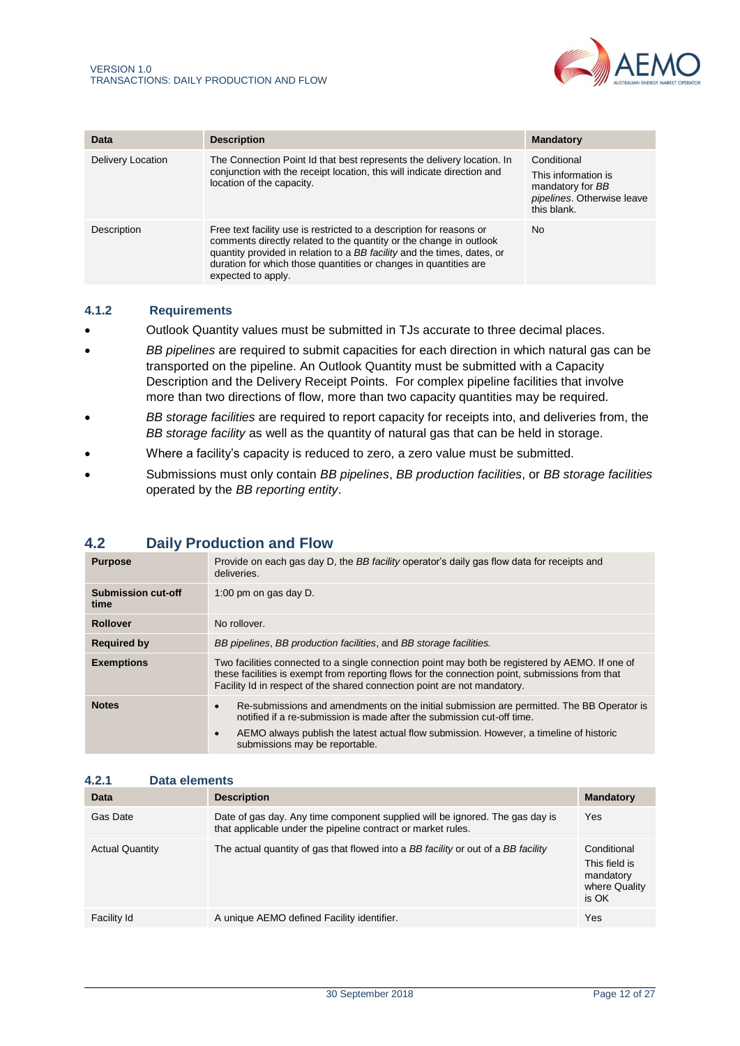

| Data              | <b>Description</b>                                                                                                                                                                                                                                                                                              | <b>Mandatory</b>                                                                                    |
|-------------------|-----------------------------------------------------------------------------------------------------------------------------------------------------------------------------------------------------------------------------------------------------------------------------------------------------------------|-----------------------------------------------------------------------------------------------------|
| Delivery Location | The Connection Point Id that best represents the delivery location. In<br>conjunction with the receipt location, this will indicate direction and<br>location of the capacity.                                                                                                                                  | Conditional<br>This information is<br>mandatory for BB<br>pipelines. Otherwise leave<br>this blank. |
| Description       | Free text facility use is restricted to a description for reasons or<br>comments directly related to the quantity or the change in outlook<br>quantity provided in relation to a BB facility and the times, dates, or<br>duration for which those quantities or changes in quantities are<br>expected to apply. | No.                                                                                                 |

### <span id="page-11-1"></span>**4.1.2 Requirements**

- Outlook Quantity values must be submitted in TJs accurate to three decimal places.
- *BB pipelines* are required to submit capacities for each direction in which natural gas can be transported on the pipeline. An Outlook Quantity must be submitted with a Capacity Description and the Delivery Receipt Points. For complex pipeline facilities that involve more than two directions of flow, more than two capacity quantities may be required.
- *BB storage facilities* are required to report capacity for receipts into, and deliveries from, the *BB storage facility* as well as the quantity of natural gas that can be held in storage.
- Where a facility's capacity is reduced to zero, a zero value must be submitted.
- Submissions must only contain *BB pipelines*, *BB production facilities*, or *BB storage facilities*  operated by the *BB reporting entity*.

# <span id="page-11-0"></span>**4.2 Daily Production and Flow**

| <b>Purpose</b>                    | Provide on each gas day D, the BB facility operator's daily gas flow data for receipts and<br>deliveries.                                                                                                                                                                                                    |  |
|-----------------------------------|--------------------------------------------------------------------------------------------------------------------------------------------------------------------------------------------------------------------------------------------------------------------------------------------------------------|--|
| <b>Submission cut-off</b><br>time | 1:00 pm on gas day D.                                                                                                                                                                                                                                                                                        |  |
| <b>Rollover</b>                   | No rollover.                                                                                                                                                                                                                                                                                                 |  |
| <b>Required by</b>                | BB pipelines, BB production facilities, and BB storage facilities.                                                                                                                                                                                                                                           |  |
| <b>Exemptions</b>                 | Two facilities connected to a single connection point may both be registered by AEMO. If one of<br>these facilities is exempt from reporting flows for the connection point, submissions from that<br>Facility Id in respect of the shared connection point are not mandatory.                               |  |
| <b>Notes</b>                      | Re-submissions and amendments on the initial submission are permitted. The BB Operator is<br>notified if a re-submission is made after the submission cut-off time.<br>AEMO always publish the latest actual flow submission. However, a timeline of historic<br>$\bullet$<br>submissions may be reportable. |  |

## **4.2.1 Data elements**

| Data                   | <b>Description</b>                                                                                                                           | <b>Mandatory</b>                                                    |
|------------------------|----------------------------------------------------------------------------------------------------------------------------------------------|---------------------------------------------------------------------|
| Gas Date               | Date of gas day. Any time component supplied will be ignored. The gas day is<br>that applicable under the pipeline contract or market rules. | Yes                                                                 |
| <b>Actual Quantity</b> | The actual quantity of gas that flowed into a BB facility or out of a BB facility                                                            | Conditional<br>This field is<br>mandatory<br>where Quality<br>is OK |
| Facility Id            | A unique AEMO defined Facility identifier.                                                                                                   | Yes                                                                 |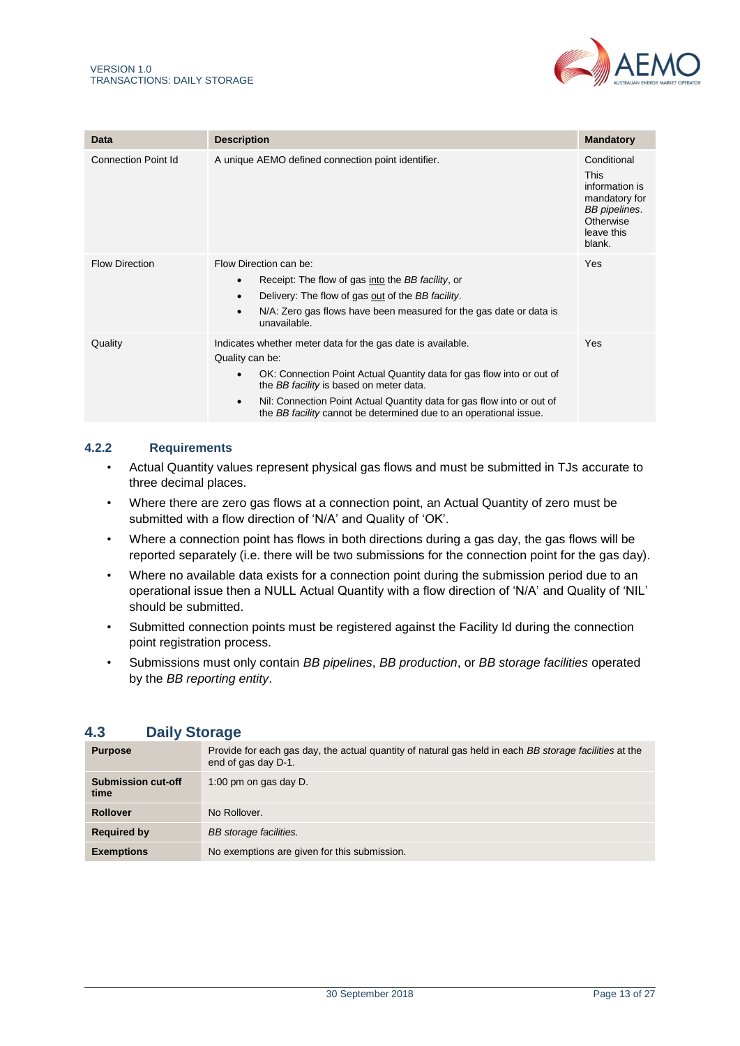

| Data                        | <b>Description</b>                                                                                                                                                                                                                                                                                                                                                          | <b>Mandatory</b>                                                                                                           |
|-----------------------------|-----------------------------------------------------------------------------------------------------------------------------------------------------------------------------------------------------------------------------------------------------------------------------------------------------------------------------------------------------------------------------|----------------------------------------------------------------------------------------------------------------------------|
| <b>Connection Point Id.</b> | A unique AEMO defined connection point identifier.                                                                                                                                                                                                                                                                                                                          | Conditional<br><b>This</b><br>information is<br>mandatory for<br><b>BB</b> pipelines.<br>Otherwise<br>leave this<br>blank. |
| <b>Flow Direction</b>       | Flow Direction can be:<br>Receipt: The flow of gas into the BB facility, or<br>$\bullet$<br>Delivery: The flow of gas out of the BB facility.<br>$\bullet$<br>N/A: Zero gas flows have been measured for the gas date or data is<br>$\bullet$<br>unavailable.                                                                                                               | Yes                                                                                                                        |
| Quality                     | Indicates whether meter data for the gas date is available.<br>Quality can be:<br>OK: Connection Point Actual Quantity data for gas flow into or out of<br>$\bullet$<br>the BB facility is based on meter data.<br>Nil: Connection Point Actual Quantity data for gas flow into or out of<br>$\bullet$<br>the BB facility cannot be determined due to an operational issue. | Yes                                                                                                                        |

## <span id="page-12-1"></span>**4.2.2 Requirements**

- Actual Quantity values represent physical gas flows and must be submitted in TJs accurate to three decimal places.
- Where there are zero gas flows at a connection point, an Actual Quantity of zero must be submitted with a flow direction of 'N/A' and Quality of 'OK'.
- Where a connection point has flows in both directions during a gas day, the gas flows will be reported separately (i.e. there will be two submissions for the connection point for the gas day).
- Where no available data exists for a connection point during the submission period due to an operational issue then a NULL Actual Quantity with a flow direction of 'N/A' and Quality of 'NIL' should be submitted.
- Submitted connection points must be registered against the Facility Id during the connection point registration process.
- Submissions must only contain *BB pipelines*, *BB production*, or *BB storage facilities* operated by the *BB reporting entity*.

# <span id="page-12-0"></span>**4.3 Daily Storage**

| <b>Purpose</b>             | Provide for each gas day, the actual quantity of natural gas held in each BB storage facilities at the<br>end of gas day D-1. |
|----------------------------|-------------------------------------------------------------------------------------------------------------------------------|
| Submission cut-off<br>time | 1:00 pm on gas day D.                                                                                                         |
| <b>Rollover</b>            | No Rollover.                                                                                                                  |
| <b>Required by</b>         | BB storage facilities.                                                                                                        |
| <b>Exemptions</b>          | No exemptions are given for this submission.                                                                                  |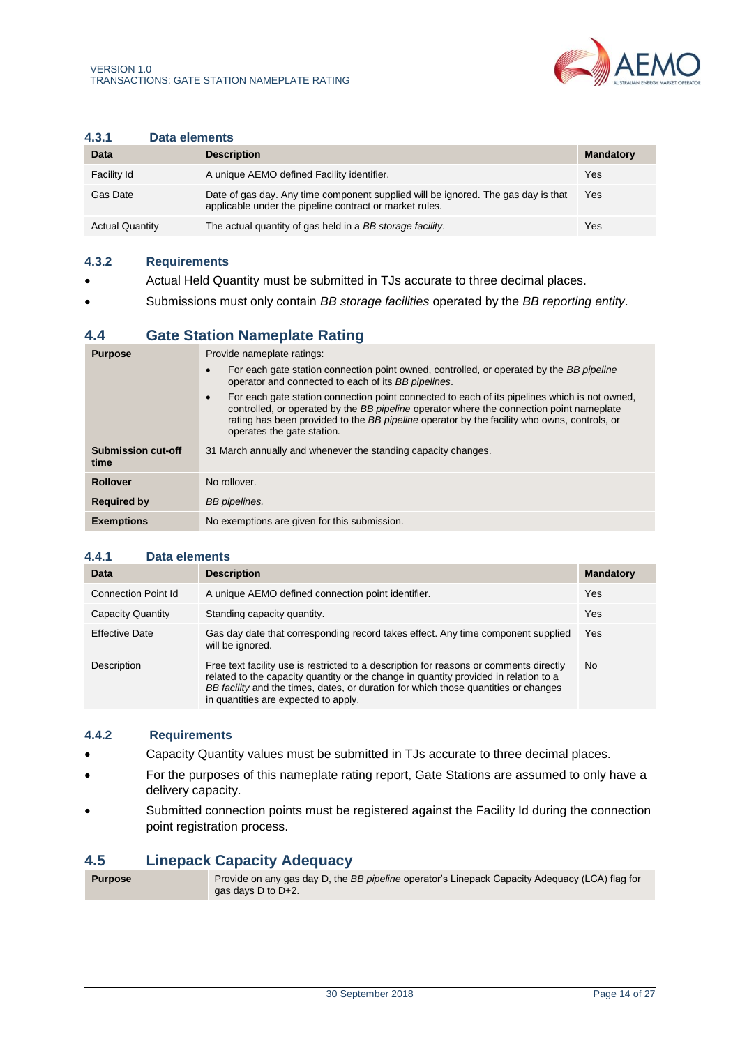

#### <span id="page-13-2"></span>**4.3.1 Data elements**

| Data                   | <b>Description</b>                                                                                                                           | <b>Mandatory</b> |
|------------------------|----------------------------------------------------------------------------------------------------------------------------------------------|------------------|
| Facility Id            | A unique AEMO defined Facility identifier.                                                                                                   | Yes              |
| Gas Date               | Date of gas day. Any time component supplied will be ignored. The gas day is that<br>applicable under the pipeline contract or market rules. | Yes              |
| <b>Actual Quantity</b> | The actual quantity of gas held in a BB storage facility.                                                                                    | Yes              |

#### **4.3.2 Requirements**

- Actual Held Quantity must be submitted in TJs accurate to three decimal places.
- Submissions must only contain *BB storage facilities* operated by the *BB reporting entity*.

# <span id="page-13-0"></span>**4.4 Gate Station Nameplate Rating**

| <b>Purpose</b>                    | Provide nameplate ratings:                                                                                                                                                                                                                                                                                                          |  |  |
|-----------------------------------|-------------------------------------------------------------------------------------------------------------------------------------------------------------------------------------------------------------------------------------------------------------------------------------------------------------------------------------|--|--|
|                                   | For each gate station connection point owned, controlled, or operated by the BB pipeline<br>$\bullet$<br>operator and connected to each of its BB pipelines.                                                                                                                                                                        |  |  |
|                                   | For each gate station connection point connected to each of its pipelines which is not owned.<br>$\bullet$<br>controlled, or operated by the BB pipeline operator where the connection point nameplate<br>rating has been provided to the BB pipeline operator by the facility who owns, controls, or<br>operates the gate station. |  |  |
| <b>Submission cut-off</b><br>time | 31 March annually and whenever the standing capacity changes.                                                                                                                                                                                                                                                                       |  |  |
| <b>Rollover</b>                   | No rollover.                                                                                                                                                                                                                                                                                                                        |  |  |
| <b>Required by</b>                | BB pipelines.                                                                                                                                                                                                                                                                                                                       |  |  |
| <b>Exemptions</b>                 | No exemptions are given for this submission.                                                                                                                                                                                                                                                                                        |  |  |

### <span id="page-13-3"></span>**4.4.1 Data elements**

| Data                  | <b>Description</b>                                                                                                                                                                                                                                                                                            | <b>Mandatory</b> |
|-----------------------|---------------------------------------------------------------------------------------------------------------------------------------------------------------------------------------------------------------------------------------------------------------------------------------------------------------|------------------|
| Connection Point Id   | A unique AEMO defined connection point identifier.                                                                                                                                                                                                                                                            | Yes              |
| Capacity Quantity     | Standing capacity quantity.                                                                                                                                                                                                                                                                                   | Yes              |
| <b>Effective Date</b> | Gas day date that corresponding record takes effect. Any time component supplied<br>will be ignored.                                                                                                                                                                                                          | <b>Yes</b>       |
| Description           | Free text facility use is restricted to a description for reasons or comments directly<br>related to the capacity quantity or the change in quantity provided in relation to a<br>BB facility and the times, dates, or duration for which those quantities or changes<br>in quantities are expected to apply. | <b>No</b>        |

### **4.4.2 Requirements**

- Capacity Quantity values must be submitted in TJs accurate to three decimal places.
- For the purposes of this nameplate rating report, Gate Stations are assumed to only have a delivery capacity.
- Submitted connection points must be registered against the Facility Id during the connection point registration process.

## <span id="page-13-1"></span>**4.5 Linepack Capacity Adequacy**

| <b>Purpose</b> | Provide on any gas day D, the BB pipeline operator's Linepack Capacity Adequacy (LCA) flag for |
|----------------|------------------------------------------------------------------------------------------------|
|                | gas days D to D+2.                                                                             |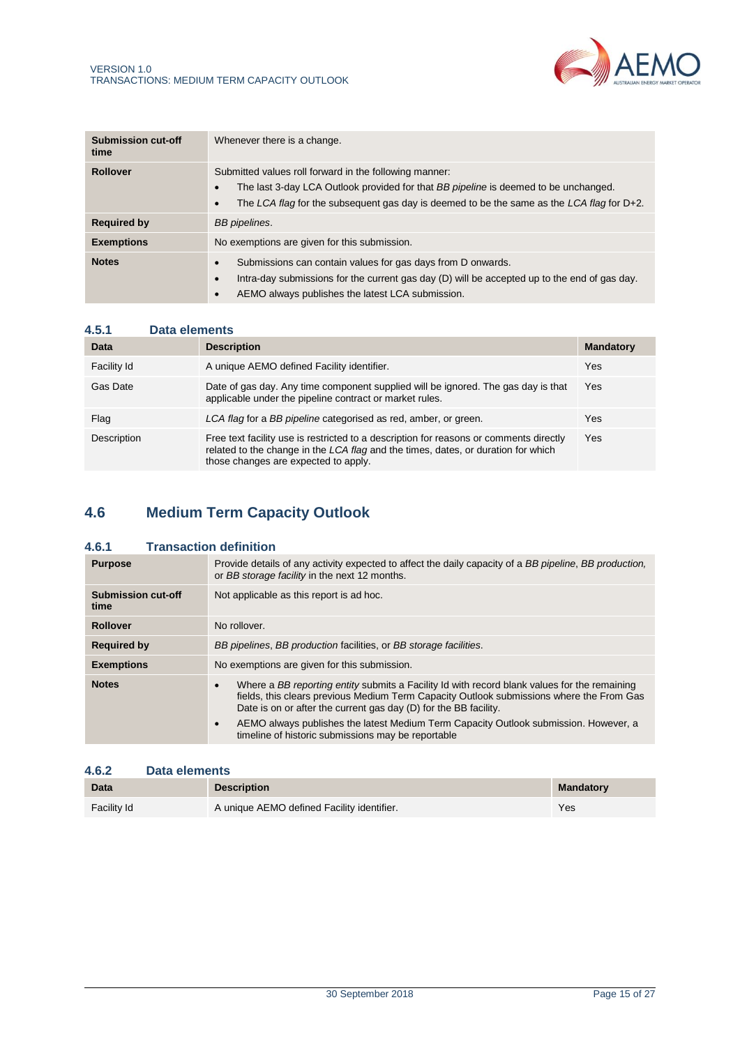

<span id="page-14-1"></span>

| <b>Submission cut-off</b><br>time | Whenever there is a change.                                                                                                                                                                                                                |  |
|-----------------------------------|--------------------------------------------------------------------------------------------------------------------------------------------------------------------------------------------------------------------------------------------|--|
| <b>Rollover</b>                   | Submitted values roll forward in the following manner:<br>The last 3-day LCA Outlook provided for that BB pipeline is deemed to be unchanged.<br>The LCA flag for the subsequent gas day is deemed to be the same as the LCA flag for D+2. |  |
| <b>Required by</b>                | BB pipelines.                                                                                                                                                                                                                              |  |
| <b>Exemptions</b>                 | No exemptions are given for this submission.                                                                                                                                                                                               |  |
| <b>Notes</b>                      | Submissions can contain values for gas days from D onwards.<br>Intra-day submissions for the current gas day (D) will be accepted up to the end of gas day.<br>AEMO always publishes the latest LCA submission.                            |  |

| 4.5.1       | Data elements |                                                                                                                                                                                                                     |                  |
|-------------|---------------|---------------------------------------------------------------------------------------------------------------------------------------------------------------------------------------------------------------------|------------------|
| Data        |               | <b>Description</b>                                                                                                                                                                                                  | <b>Mandatory</b> |
| Facility Id |               | A unique AEMO defined Facility identifier.                                                                                                                                                                          | Yes              |
| Gas Date    |               | Date of gas day. Any time component supplied will be ignored. The gas day is that<br>applicable under the pipeline contract or market rules.                                                                        | Yes              |
| Flag        |               | LCA flag for a BB pipeline categorised as red, amber, or green.                                                                                                                                                     | Yes              |
| Description |               | Free text facility use is restricted to a description for reasons or comments directly<br>related to the change in the LCA flag and the times, dates, or duration for which<br>those changes are expected to apply. | Yes              |

# <span id="page-14-0"></span>**4.6 Medium Term Capacity Outlook**

# **4.6.1 Transaction definition**

| <b>Purpose</b>             | Provide details of any activity expected to affect the daily capacity of a BB pipeline, BB production,<br>or BB storage facility in the next 12 months.                                                                                                           |  |  |  |
|----------------------------|-------------------------------------------------------------------------------------------------------------------------------------------------------------------------------------------------------------------------------------------------------------------|--|--|--|
| Submission cut-off<br>time | Not applicable as this report is ad hoc.                                                                                                                                                                                                                          |  |  |  |
| <b>Rollover</b>            | No rollover.                                                                                                                                                                                                                                                      |  |  |  |
| <b>Required by</b>         | BB pipelines, BB production facilities, or BB storage facilities.                                                                                                                                                                                                 |  |  |  |
| <b>Exemptions</b>          | No exemptions are given for this submission.                                                                                                                                                                                                                      |  |  |  |
| <b>Notes</b>               | Where a BB reporting entity submits a Facility Id with record blank values for the remaining<br>٠<br>fields, this clears previous Medium Term Capacity Outlook submissions where the From Gas<br>Date is on or after the current gas day (D) for the BB facility. |  |  |  |
|                            | AEMO always publishes the latest Medium Term Capacity Outlook submission. However, a<br>$\bullet$<br>timeline of historic submissions may be reportable                                                                                                           |  |  |  |

## **4.6.2 Data elements**

| Data        | <b>Description</b>                         | <b>Mandatory</b> |
|-------------|--------------------------------------------|------------------|
| Facility Id | A unique AEMO defined Facility identifier. | Yes              |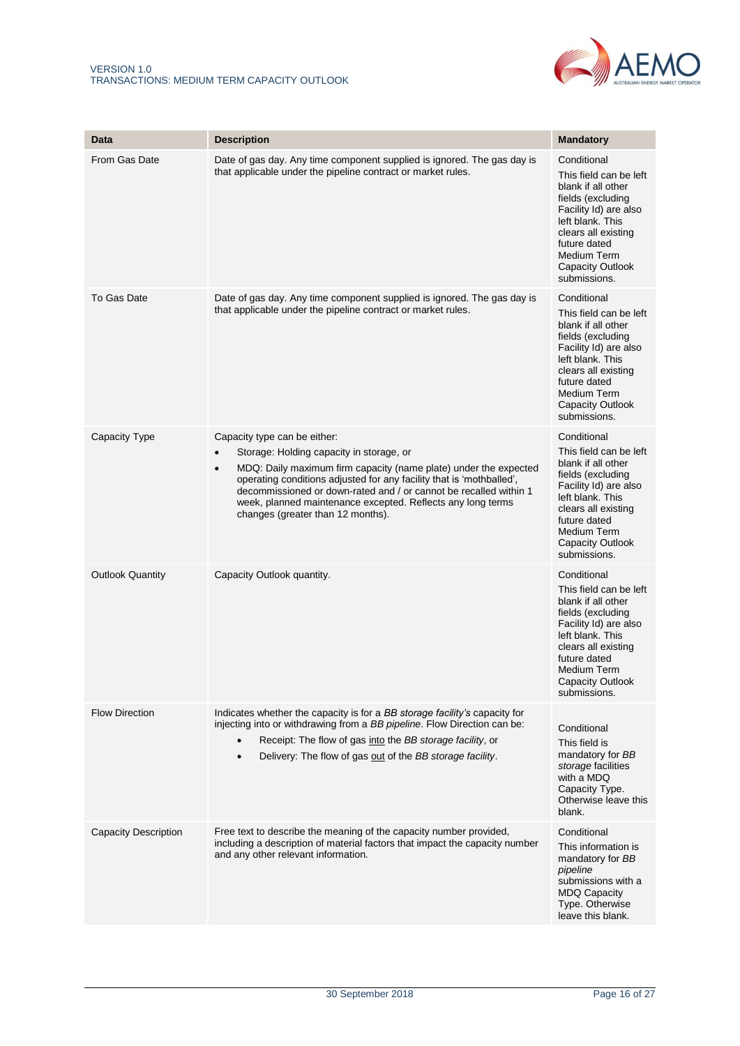

| Data                        | <b>Description</b>                                                                                                                                                                                                                                                                                                                                                                                                      | <b>Mandatory</b>                                                                                                                                                                                                               |
|-----------------------------|-------------------------------------------------------------------------------------------------------------------------------------------------------------------------------------------------------------------------------------------------------------------------------------------------------------------------------------------------------------------------------------------------------------------------|--------------------------------------------------------------------------------------------------------------------------------------------------------------------------------------------------------------------------------|
| From Gas Date               | Date of gas day. Any time component supplied is ignored. The gas day is<br>that applicable under the pipeline contract or market rules.                                                                                                                                                                                                                                                                                 | Conditional<br>This field can be left<br>blank if all other<br>fields (excluding<br>Facility Id) are also<br>left blank. This<br>clears all existing<br>future dated<br>Medium Term<br><b>Capacity Outlook</b><br>submissions. |
| To Gas Date                 | Date of gas day. Any time component supplied is ignored. The gas day is<br>that applicable under the pipeline contract or market rules.                                                                                                                                                                                                                                                                                 | Conditional<br>This field can be left<br>blank if all other<br>fields (excluding<br>Facility Id) are also<br>left blank. This<br>clears all existing<br>future dated<br>Medium Term<br><b>Capacity Outlook</b><br>submissions. |
| <b>Capacity Type</b>        | Capacity type can be either:<br>Storage: Holding capacity in storage, or<br>$\bullet$<br>MDQ: Daily maximum firm capacity (name plate) under the expected<br>$\bullet$<br>operating conditions adjusted for any facility that is 'mothballed',<br>decommissioned or down-rated and / or cannot be recalled within 1<br>week, planned maintenance excepted. Reflects any long terms<br>changes (greater than 12 months). | Conditional<br>This field can be left<br>blank if all other<br>fields (excluding<br>Facility Id) are also<br>left blank. This<br>clears all existing<br>future dated<br>Medium Term<br><b>Capacity Outlook</b><br>submissions. |
| <b>Outlook Quantity</b>     | Capacity Outlook quantity.                                                                                                                                                                                                                                                                                                                                                                                              | Conditional<br>This field can be left<br>blank if all other<br>fields (excluding<br>Facility Id) are also<br>left blank. This<br>clears all existing<br>future dated<br>Medium Term<br>Capacity Outlook<br>submissions.        |
| <b>Flow Direction</b>       | Indicates whether the capacity is for a BB storage facility's capacity for<br>injecting into or withdrawing from a BB pipeline. Flow Direction can be:<br>Receipt: The flow of gas into the BB storage facility, or<br>Delivery: The flow of gas out of the BB storage facility.<br>$\bullet$                                                                                                                           | Conditional<br>This field is<br>mandatory for BB<br>storage facilities<br>with a MDQ<br>Capacity Type.<br>Otherwise leave this<br>blank.                                                                                       |
| <b>Capacity Description</b> | Free text to describe the meaning of the capacity number provided,<br>including a description of material factors that impact the capacity number<br>and any other relevant information.                                                                                                                                                                                                                                | Conditional<br>This information is<br>mandatory for BB<br>pipeline<br>submissions with a<br><b>MDQ Capacity</b><br>Type. Otherwise<br>leave this blank.                                                                        |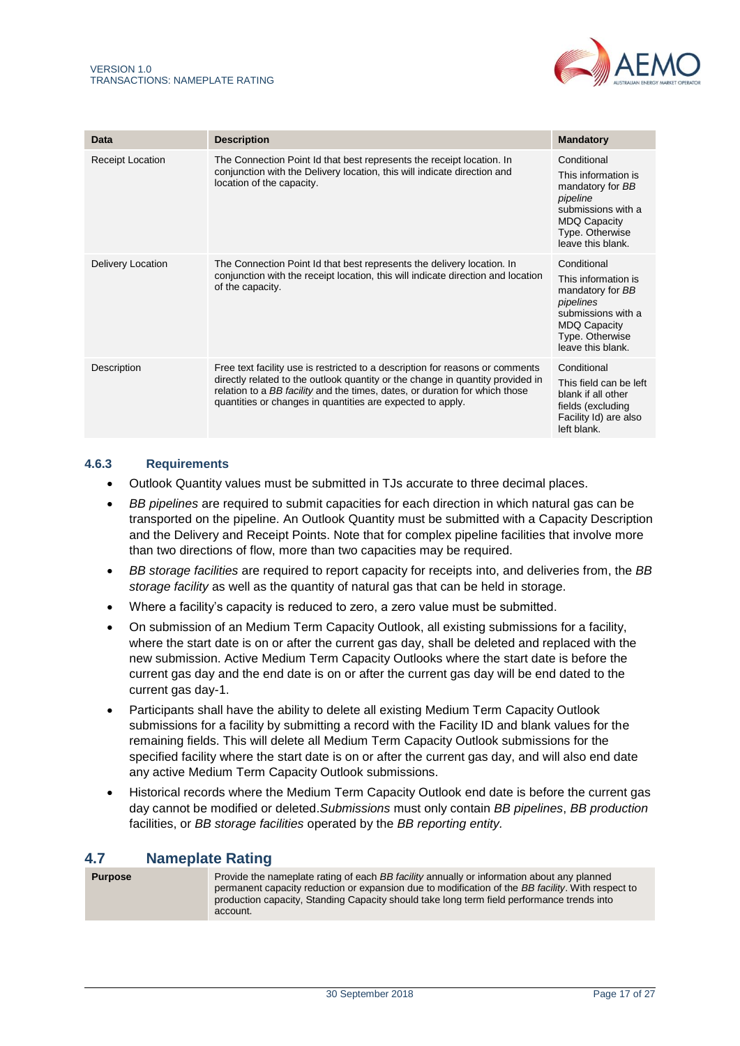

| Data              | <b>Description</b>                                                                                                                                                                                                                                                                                           | <b>Mandatory</b>                                                                                                                                         |
|-------------------|--------------------------------------------------------------------------------------------------------------------------------------------------------------------------------------------------------------------------------------------------------------------------------------------------------------|----------------------------------------------------------------------------------------------------------------------------------------------------------|
| Receipt Location  | The Connection Point Id that best represents the receipt location. In<br>conjunction with the Delivery location, this will indicate direction and<br>location of the capacity.                                                                                                                               | Conditional<br>This information is<br>mandatory for BB<br>pipeline<br>submissions with a<br><b>MDQ Capacity</b><br>Type. Otherwise<br>leave this blank.  |
| Delivery Location | The Connection Point Id that best represents the delivery location. In<br>conjunction with the receipt location, this will indicate direction and location<br>of the capacity.                                                                                                                               | Conditional<br>This information is<br>mandatory for BB<br>pipelines<br>submissions with a<br><b>MDQ Capacity</b><br>Type. Otherwise<br>leave this blank. |
| Description       | Free text facility use is restricted to a description for reasons or comments<br>directly related to the outlook quantity or the change in quantity provided in<br>relation to a BB facility and the times, dates, or duration for which those<br>quantities or changes in quantities are expected to apply. | Conditional<br>This field can be left<br>blank if all other<br>fields (excluding<br>Facility Id) are also<br>left blank.                                 |

### **4.6.3 Requirements**

- Outlook Quantity values must be submitted in TJs accurate to three decimal places.
- <span id="page-16-1"></span>• *BB pipelines* are required to submit capacities for each direction in which natural gas can be transported on the pipeline. An Outlook Quantity must be submitted with a Capacity Description and the Delivery and Receipt Points. Note that for complex pipeline facilities that involve more than two directions of flow, more than two capacities may be required.
- *BB storage facilities* are required to report capacity for receipts into, and deliveries from, the *BB storage facility* as well as the quantity of natural gas that can be held in storage.
- Where a facility's capacity is reduced to zero, a zero value must be submitted.
- On submission of an Medium Term Capacity Outlook, all existing submissions for a facility, where the start date is on or after the current gas day, shall be deleted and replaced with the new submission. Active Medium Term Capacity Outlooks where the start date is before the current gas day and the end date is on or after the current gas day will be end dated to the current gas day-1.
- Participants shall have the ability to delete all existing Medium Term Capacity Outlook submissions for a facility by submitting a record with the Facility ID and blank values for the remaining fields. This will delete all Medium Term Capacity Outlook submissions for the specified facility where the start date is on or after the current gas day, and will also end date any active Medium Term Capacity Outlook submissions.
- Historical records where the Medium Term Capacity Outlook end date is before the current gas day cannot be modified or deleted.*Submissions* must only contain *BB pipelines*, *BB production* facilities, or *BB storage facilities* operated by the *BB reporting entity.*

# <span id="page-16-0"></span>**4.7 Nameplate Rating**

| <b>Purpose</b> | Provide the nameplate rating of each BB facility annually or information about any planned<br>permanent capacity reduction or expansion due to modification of the BB facility. With respect to<br>production capacity, Standing Capacity should take long term field performance trends into<br>account. |
|----------------|-----------------------------------------------------------------------------------------------------------------------------------------------------------------------------------------------------------------------------------------------------------------------------------------------------------|
|----------------|-----------------------------------------------------------------------------------------------------------------------------------------------------------------------------------------------------------------------------------------------------------------------------------------------------------|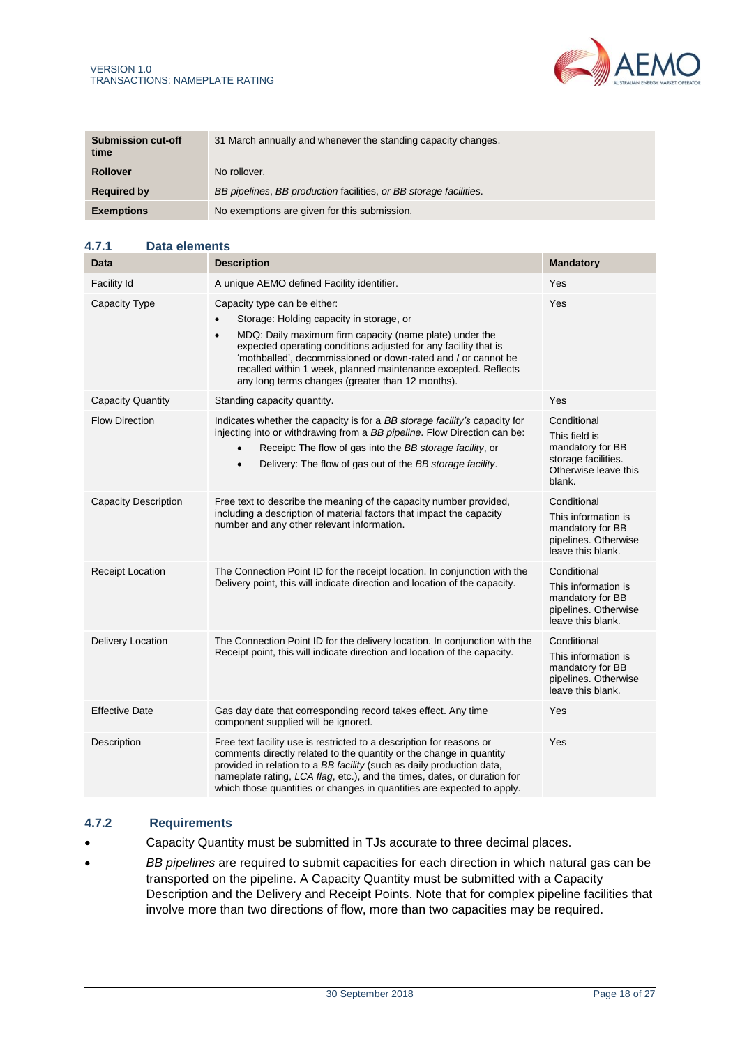

| <b>Submission cut-off</b><br>time | 31 March annually and whenever the standing capacity changes.     |
|-----------------------------------|-------------------------------------------------------------------|
| <b>Rollover</b>                   | No rollover.                                                      |
| <b>Required by</b>                | BB pipelines, BB production facilities, or BB storage facilities. |
| <b>Exemptions</b>                 | No exemptions are given for this submission.                      |

# **4.7.1 Data elements**

| Data                        | <b>Description</b>                                                                                                                                                                                                                                                                                                                                                                                         | <b>Mandatory</b>                                                                                          |
|-----------------------------|------------------------------------------------------------------------------------------------------------------------------------------------------------------------------------------------------------------------------------------------------------------------------------------------------------------------------------------------------------------------------------------------------------|-----------------------------------------------------------------------------------------------------------|
| Facility Id                 | A unique AEMO defined Facility identifier.                                                                                                                                                                                                                                                                                                                                                                 | Yes                                                                                                       |
| Capacity Type               | Capacity type can be either:<br>Storage: Holding capacity in storage, or<br>MDQ: Daily maximum firm capacity (name plate) under the<br>$\bullet$<br>expected operating conditions adjusted for any facility that is<br>'mothballed', decommissioned or down-rated and / or cannot be<br>recalled within 1 week, planned maintenance excepted. Reflects<br>any long terms changes (greater than 12 months). | Yes                                                                                                       |
| <b>Capacity Quantity</b>    | Standing capacity quantity.                                                                                                                                                                                                                                                                                                                                                                                | Yes                                                                                                       |
| <b>Flow Direction</b>       | Indicates whether the capacity is for a BB storage facility's capacity for<br>injecting into or withdrawing from a BB pipeline. Flow Direction can be:<br>Receipt: The flow of gas into the BB storage facility, or<br>Delivery: The flow of gas out of the BB storage facility.<br>$\bullet$                                                                                                              | Conditional<br>This field is<br>mandatory for BB<br>storage facilities.<br>Otherwise leave this<br>blank. |
| <b>Capacity Description</b> | Free text to describe the meaning of the capacity number provided,<br>including a description of material factors that impact the capacity<br>number and any other relevant information.                                                                                                                                                                                                                   | Conditional<br>This information is<br>mandatory for BB<br>pipelines. Otherwise<br>leave this blank.       |
| <b>Receipt Location</b>     | The Connection Point ID for the receipt location. In conjunction with the<br>Delivery point, this will indicate direction and location of the capacity.                                                                                                                                                                                                                                                    | Conditional<br>This information is<br>mandatory for BB<br>pipelines. Otherwise<br>leave this blank.       |
| Delivery Location           | The Connection Point ID for the delivery location. In conjunction with the<br>Receipt point, this will indicate direction and location of the capacity.                                                                                                                                                                                                                                                    | Conditional<br>This information is<br>mandatory for BB<br>pipelines. Otherwise<br>leave this blank.       |
| <b>Effective Date</b>       | Gas day date that corresponding record takes effect. Any time<br>component supplied will be ignored.                                                                                                                                                                                                                                                                                                       | Yes                                                                                                       |
| Description                 | Free text facility use is restricted to a description for reasons or<br>comments directly related to the quantity or the change in quantity<br>provided in relation to a BB facility (such as daily production data,<br>nameplate rating, LCA flag, etc.), and the times, dates, or duration for<br>which those quantities or changes in quantities are expected to apply.                                 | Yes                                                                                                       |

## **4.7.2 Requirements**

- Capacity Quantity must be submitted in TJs accurate to three decimal places.
- *BB pipelines* are required to submit capacities for each direction in which natural gas can be transported on the pipeline. A Capacity Quantity must be submitted with a Capacity Description and the Delivery and Receipt Points. Note that for complex pipeline facilities that involve more than two directions of flow, more than two capacities may be required.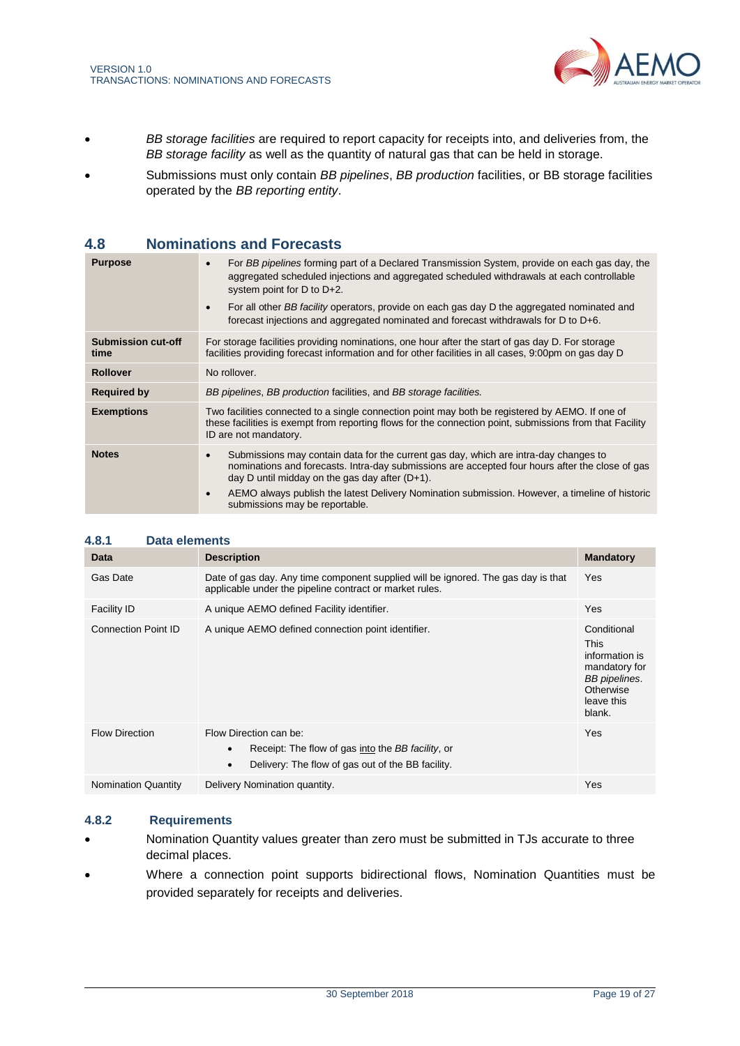

- <span id="page-18-1"></span>• *BB storage facilities* are required to report capacity for receipts into, and deliveries from, the *BB storage facility* as well as the quantity of natural gas that can be held in storage.
- Submissions must only contain *BB pipelines*, *BB production* facilities, or BB storage facilities operated by the *BB reporting entity*.

# <span id="page-18-0"></span>**4.8 Nominations and Forecasts**

| <b>Purpose</b>                    | For BB pipelines forming part of a Declared Transmission System, provide on each gas day, the<br>aggregated scheduled injections and aggregated scheduled withdrawals at each controllable<br>system point for $D$ to $D+2$ .<br>For all other BB facility operators, provide on each gas day D the aggregated nominated and<br>forecast injections and aggregated nominated and forecast withdrawals for D to D+6. |
|-----------------------------------|---------------------------------------------------------------------------------------------------------------------------------------------------------------------------------------------------------------------------------------------------------------------------------------------------------------------------------------------------------------------------------------------------------------------|
| <b>Submission cut-off</b><br>time | For storage facilities providing nominations, one hour after the start of gas day D. For storage<br>facilities providing forecast information and for other facilities in all cases, 9:00pm on gas day D                                                                                                                                                                                                            |
| <b>Rollover</b>                   | No rollover.                                                                                                                                                                                                                                                                                                                                                                                                        |
| <b>Required by</b>                | BB pipelines, BB production facilities, and BB storage facilities.                                                                                                                                                                                                                                                                                                                                                  |
| <b>Exemptions</b>                 | Two facilities connected to a single connection point may both be registered by AEMO. If one of<br>these facilities is exempt from reporting flows for the connection point, submissions from that Facility<br>ID are not mandatory.                                                                                                                                                                                |
| <b>Notes</b>                      | Submissions may contain data for the current gas day, which are intra-day changes to<br>$\bullet$<br>nominations and forecasts. Intra-day submissions are accepted four hours after the close of gas<br>day D until midday on the gas day after $(D+1)$ .<br>AEMO always publish the latest Delivery Nomination submission. However, a timeline of historic<br>$\bullet$<br>submissions may be reportable.          |

| 4.8.1<br>Data elements     |                                                                                                                                              |                                                                                                                     |
|----------------------------|----------------------------------------------------------------------------------------------------------------------------------------------|---------------------------------------------------------------------------------------------------------------------|
| Data                       | <b>Description</b>                                                                                                                           | <b>Mandatory</b>                                                                                                    |
| Gas Date                   | Date of gas day. Any time component supplied will be ignored. The gas day is that<br>applicable under the pipeline contract or market rules. | <b>Yes</b>                                                                                                          |
| <b>Facility ID</b>         | A unique AEMO defined Facility identifier.                                                                                                   | Yes                                                                                                                 |
| <b>Connection Point ID</b> | A unique AEMO defined connection point identifier.                                                                                           | Conditional<br><b>This</b><br>information is<br>mandatory for<br>BB pipelines.<br>Otherwise<br>leave this<br>blank. |
| <b>Flow Direction</b>      | Flow Direction can be:<br>Receipt: The flow of gas into the BB facility, or<br>Delivery: The flow of gas out of the BB facility.             | Yes                                                                                                                 |
| <b>Nomination Quantity</b> | Delivery Nomination quantity.                                                                                                                | Yes                                                                                                                 |

#### **4.8.2 Requirements**

- Nomination Quantity values greater than zero must be submitted in TJs accurate to three decimal places.
- Where a connection point supports bidirectional flows, Nomination Quantities must be provided separately for receipts and deliveries.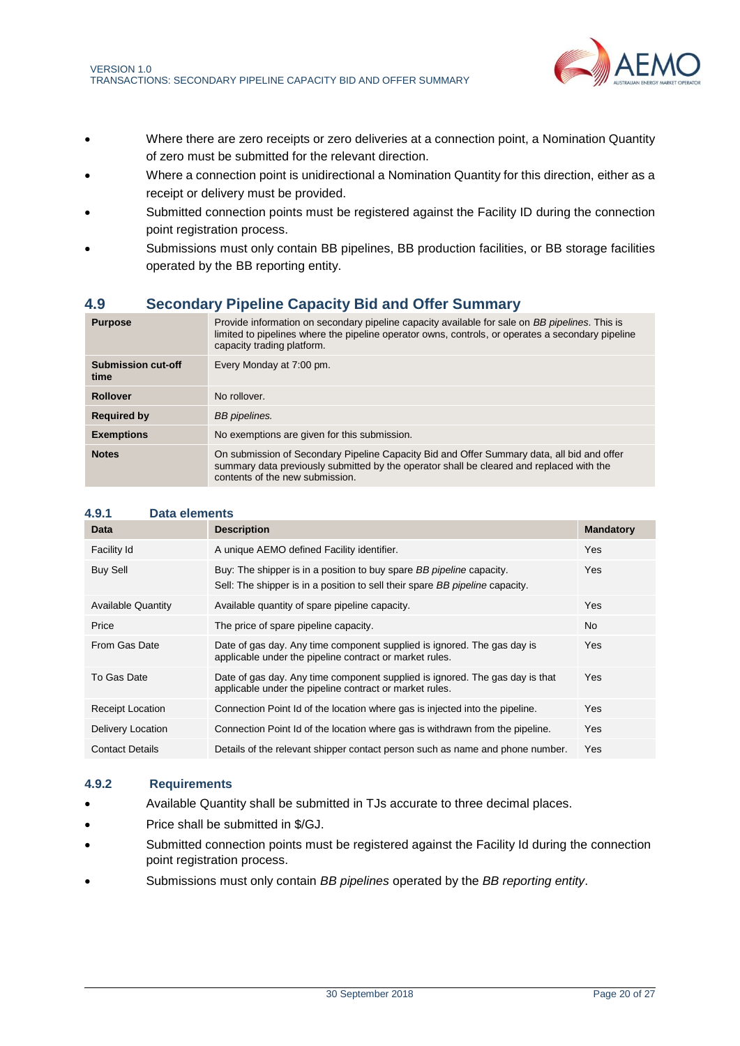

- Where there are zero receipts or zero deliveries at a connection point, a Nomination Quantity of zero must be submitted for the relevant direction.
- Where a connection point is unidirectional a Nomination Quantity for this direction, either as a receipt or delivery must be provided.
- Submitted connection points must be registered against the Facility ID during the connection point registration process.
- Submissions must only contain BB pipelines, BB production facilities, or BB storage facilities operated by the BB reporting entity.

# <span id="page-19-0"></span>**4.9 Secondary Pipeline Capacity Bid and Offer Summary**

| <b>Purpose</b>                    | Provide information on secondary pipeline capacity available for sale on BB pipelines. This is<br>limited to pipelines where the pipeline operator owns, controls, or operates a secondary pipeline<br>capacity trading platform. |
|-----------------------------------|-----------------------------------------------------------------------------------------------------------------------------------------------------------------------------------------------------------------------------------|
| <b>Submission cut-off</b><br>time | Every Monday at 7:00 pm.                                                                                                                                                                                                          |
| <b>Rollover</b>                   | No rollover.                                                                                                                                                                                                                      |
| <b>Required by</b>                | BB pipelines.                                                                                                                                                                                                                     |
| <b>Exemptions</b>                 | No exemptions are given for this submission.                                                                                                                                                                                      |
| <b>Notes</b>                      | On submission of Secondary Pipeline Capacity Bid and Offer Summary data, all bid and offer<br>summary data previously submitted by the operator shall be cleared and replaced with the<br>contents of the new submission.         |

| Data                      | <b>Description</b>                                                                                                                                   | <b>Mandatory</b> |
|---------------------------|------------------------------------------------------------------------------------------------------------------------------------------------------|------------------|
| Facility Id               | A unique AEMO defined Facility identifier.                                                                                                           | <b>Yes</b>       |
| <b>Buy Sell</b>           | Buy: The shipper is in a position to buy spare BB pipeline capacity.<br>Sell: The shipper is in a position to sell their spare BB pipeline capacity. | Yes              |
| <b>Available Quantity</b> | Available quantity of spare pipeline capacity.                                                                                                       | Yes              |
| Price                     | The price of spare pipeline capacity.                                                                                                                | No.              |
| From Gas Date             | Date of gas day. Any time component supplied is ignored. The gas day is<br>applicable under the pipeline contract or market rules.                   | <b>Yes</b>       |
| To Gas Date               | Date of gas day. Any time component supplied is ignored. The gas day is that<br>applicable under the pipeline contract or market rules.              | Yes              |
| <b>Receipt Location</b>   | Connection Point Id of the location where gas is injected into the pipeline.                                                                         | Yes              |
| Delivery Location         | Connection Point Id of the location where gas is withdrawn from the pipeline.                                                                        | Yes              |
| <b>Contact Details</b>    | Details of the relevant shipper contact person such as name and phone number.                                                                        | <b>Yes</b>       |

## **4.9.2 Requirements**

**4.9.1 Data elements**

- Available Quantity shall be submitted in TJs accurate to three decimal places.
- Price shall be submitted in \$/GJ.
- Submitted connection points must be registered against the Facility Id during the connection point registration process.
- Submissions must only contain *BB pipelines* operated by the *BB reporting entity*.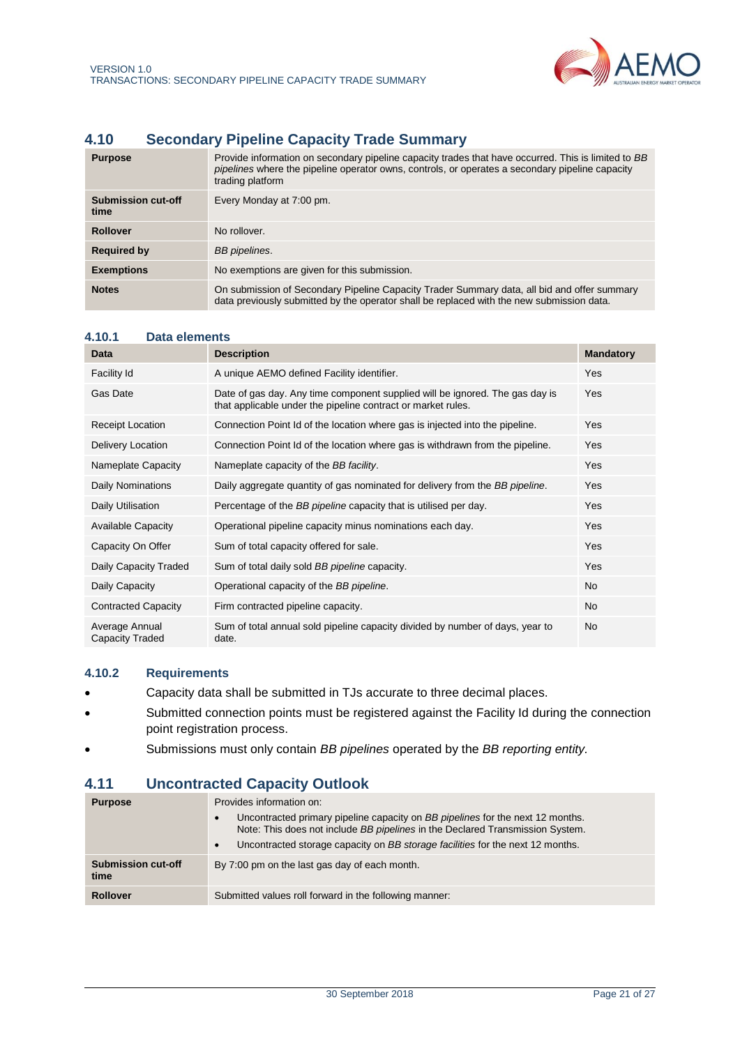

# <span id="page-20-2"></span><span id="page-20-0"></span>**4.10 Secondary Pipeline Capacity Trade Summary**

| <b>Purpose</b>                    | Provide information on secondary pipeline capacity trades that have occurred. This is limited to BB<br>pipelines where the pipeline operator owns, controls, or operates a secondary pipeline capacity<br>trading platform |
|-----------------------------------|----------------------------------------------------------------------------------------------------------------------------------------------------------------------------------------------------------------------------|
| <b>Submission cut-off</b><br>time | Every Monday at 7:00 pm.                                                                                                                                                                                                   |
| <b>Rollover</b>                   | No rollover.                                                                                                                                                                                                               |
| <b>Required by</b>                | BB pipelines.                                                                                                                                                                                                              |
| <b>Exemptions</b>                 | No exemptions are given for this submission.                                                                                                                                                                               |
| <b>Notes</b>                      | On submission of Secondary Pipeline Capacity Trader Summary data, all bid and offer summary<br>data previously submitted by the operator shall be replaced with the new submission data.                                   |

| 4.10.1<br>Data elements           |                                                                                                                                              |                  |
|-----------------------------------|----------------------------------------------------------------------------------------------------------------------------------------------|------------------|
| Data                              | <b>Description</b>                                                                                                                           | <b>Mandatory</b> |
| Facility Id                       | A unique AEMO defined Facility identifier.                                                                                                   | Yes              |
| Gas Date                          | Date of gas day. Any time component supplied will be ignored. The gas day is<br>that applicable under the pipeline contract or market rules. | Yes              |
| <b>Receipt Location</b>           | Connection Point Id of the location where gas is injected into the pipeline.                                                                 | Yes              |
| Delivery Location                 | Connection Point Id of the location where gas is withdrawn from the pipeline.                                                                | Yes              |
| Nameplate Capacity                | Nameplate capacity of the BB facility.                                                                                                       | Yes              |
| Daily Nominations                 | Daily aggregate quantity of gas nominated for delivery from the BB pipeline.                                                                 | Yes              |
| Daily Utilisation                 | Percentage of the BB pipeline capacity that is utilised per day.                                                                             | Yes              |
| <b>Available Capacity</b>         | Operational pipeline capacity minus nominations each day.                                                                                    | Yes              |
| Capacity On Offer                 | Sum of total capacity offered for sale.                                                                                                      | Yes              |
| Daily Capacity Traded             | Sum of total daily sold BB pipeline capacity.                                                                                                | Yes              |
| Daily Capacity                    | Operational capacity of the BB pipeline.                                                                                                     | <b>No</b>        |
| <b>Contracted Capacity</b>        | Firm contracted pipeline capacity.                                                                                                           | <b>No</b>        |
| Average Annual<br>Capacity Traded | Sum of total annual sold pipeline capacity divided by number of days, year to<br>date.                                                       | No.              |

# **4.10.2 Requirements**

- Capacity data shall be submitted in TJs accurate to three decimal places.
- Submitted connection points must be registered against the Facility Id during the connection point registration process.
- Submissions must only contain *BB pipelines* operated by the *BB reporting entity.*

# <span id="page-20-1"></span>**4.11 Uncontracted Capacity Outlook**

| <b>Purpose</b>                    | Provides information on:<br>Uncontracted primary pipeline capacity on BB pipelines for the next 12 months.<br>$\bullet$<br>Note: This does not include BB pipelines in the Declared Transmission System.<br>Uncontracted storage capacity on BB storage facilities for the next 12 months.<br>$\bullet$ |
|-----------------------------------|---------------------------------------------------------------------------------------------------------------------------------------------------------------------------------------------------------------------------------------------------------------------------------------------------------|
| <b>Submission cut-off</b><br>time | By 7:00 pm on the last gas day of each month.                                                                                                                                                                                                                                                           |
| <b>Rollover</b>                   | Submitted values roll forward in the following manner:                                                                                                                                                                                                                                                  |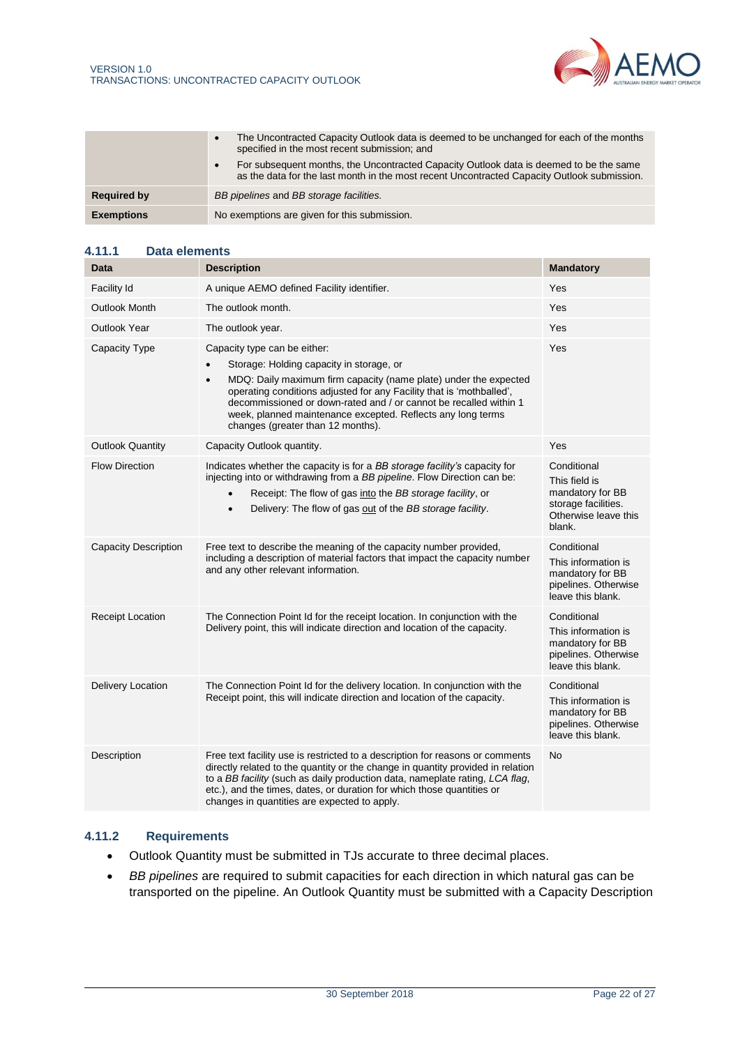

|                    | The Uncontracted Capacity Outlook data is deemed to be unchanged for each of the months<br>$\bullet$<br>specified in the most recent submission; and                                               |  |
|--------------------|----------------------------------------------------------------------------------------------------------------------------------------------------------------------------------------------------|--|
|                    | For subsequent months, the Uncontracted Capacity Outlook data is deemed to be the same<br>$\bullet$<br>as the data for the last month in the most recent Uncontracted Capacity Outlook submission. |  |
| <b>Required by</b> | BB pipelines and BB storage facilities.                                                                                                                                                            |  |
| <b>Exemptions</b>  | No exemptions are given for this submission.                                                                                                                                                       |  |

#### **4.11.1 Data elements**

| <b>Data</b>                 | <b>Description</b>                                                                                                                                                                                                                                                                                                                                                                                         | <b>Mandatory</b>                                                                                          |
|-----------------------------|------------------------------------------------------------------------------------------------------------------------------------------------------------------------------------------------------------------------------------------------------------------------------------------------------------------------------------------------------------------------------------------------------------|-----------------------------------------------------------------------------------------------------------|
| Facility Id                 | A unique AEMO defined Facility identifier.                                                                                                                                                                                                                                                                                                                                                                 | Yes                                                                                                       |
| <b>Outlook Month</b>        | The outlook month.                                                                                                                                                                                                                                                                                                                                                                                         | Yes                                                                                                       |
| <b>Outlook Year</b>         | The outlook year.                                                                                                                                                                                                                                                                                                                                                                                          | Yes                                                                                                       |
| Capacity Type               | Capacity type can be either:<br>Storage: Holding capacity in storage, or<br>MDQ: Daily maximum firm capacity (name plate) under the expected<br>$\bullet$<br>operating conditions adjusted for any Facility that is 'mothballed',<br>decommissioned or down-rated and / or cannot be recalled within 1<br>week, planned maintenance excepted. Reflects any long terms<br>changes (greater than 12 months). | Yes                                                                                                       |
| <b>Outlook Quantity</b>     | Capacity Outlook quantity.                                                                                                                                                                                                                                                                                                                                                                                 | Yes                                                                                                       |
| <b>Flow Direction</b>       | Indicates whether the capacity is for a BB storage facility's capacity for<br>injecting into or withdrawing from a BB pipeline. Flow Direction can be:<br>Receipt: The flow of gas into the BB storage facility, or<br>$\bullet$<br>Delivery: The flow of gas out of the BB storage facility.<br>$\bullet$                                                                                                 | Conditional<br>This field is<br>mandatory for BB<br>storage facilities.<br>Otherwise leave this<br>blank. |
| <b>Capacity Description</b> | Free text to describe the meaning of the capacity number provided,<br>including a description of material factors that impact the capacity number<br>and any other relevant information.                                                                                                                                                                                                                   | Conditional<br>This information is<br>mandatory for BB<br>pipelines. Otherwise<br>leave this blank.       |
| Receipt Location            | The Connection Point Id for the receipt location. In conjunction with the<br>Delivery point, this will indicate direction and location of the capacity.                                                                                                                                                                                                                                                    | Conditional<br>This information is<br>mandatory for BB<br>pipelines. Otherwise<br>leave this blank.       |
| Delivery Location           | The Connection Point Id for the delivery location. In conjunction with the<br>Receipt point, this will indicate direction and location of the capacity.                                                                                                                                                                                                                                                    | Conditional<br>This information is<br>mandatory for BB<br>pipelines. Otherwise<br>leave this blank.       |
| Description                 | Free text facility use is restricted to a description for reasons or comments<br>directly related to the quantity or the change in quantity provided in relation<br>to a BB facility (such as daily production data, nameplate rating, LCA flag,<br>etc.), and the times, dates, or duration for which those quantities or<br>changes in quantities are expected to apply.                                 | No                                                                                                        |

# **4.11.2 Requirements**

- Outlook Quantity must be submitted in TJs accurate to three decimal places.
- *BB pipelines* are required to submit capacities for each direction in which natural gas can be transported on the pipeline. An Outlook Quantity must be submitted with a Capacity Description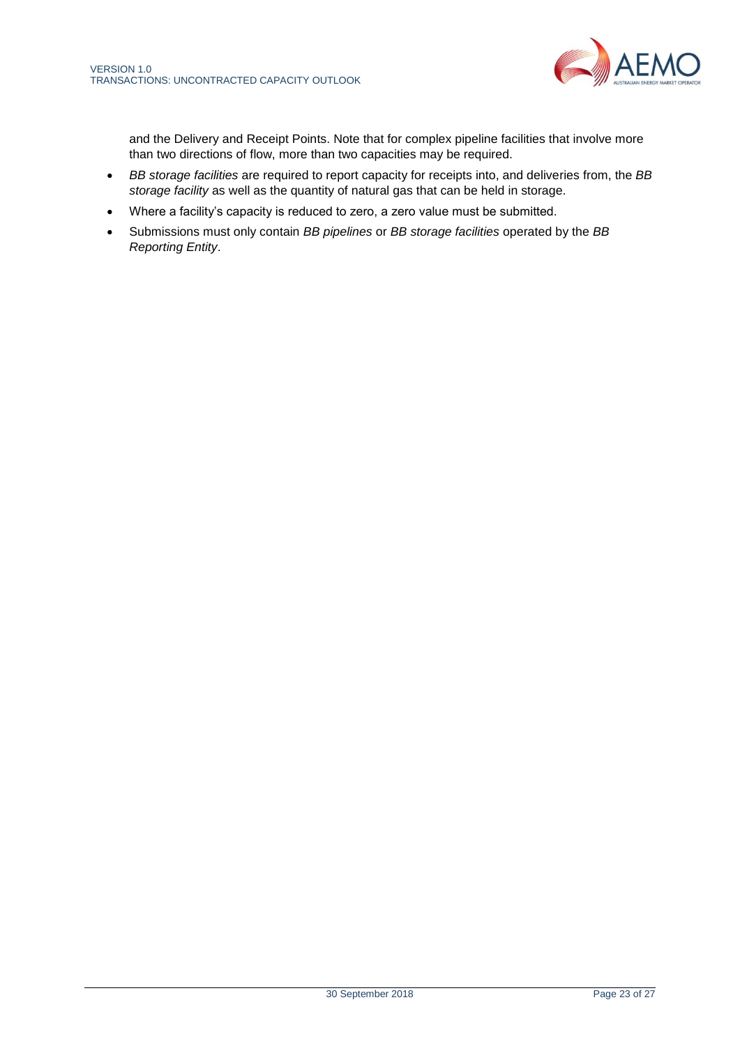

<span id="page-22-0"></span>and the Delivery and Receipt Points. Note that for complex pipeline facilities that involve more than two directions of flow, more than two capacities may be required.

- *BB storage facilities* are required to report capacity for receipts into, and deliveries from, the *BB storage facility* as well as the quantity of natural gas that can be held in storage.
- Where a facility's capacity is reduced to zero, a zero value must be submitted.
- Submissions must only contain *BB pipelines* or *BB storage facilities* operated by the *BB Reporting Entity*.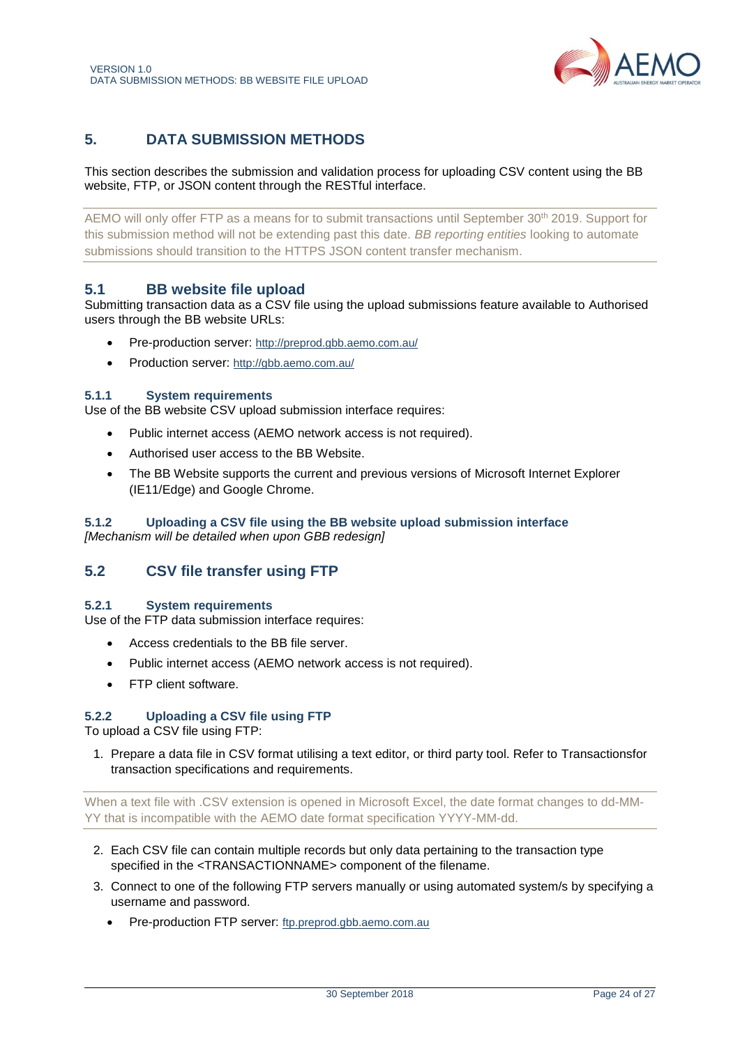

# <span id="page-23-0"></span>**5. DATA SUBMISSION METHODS**

This section describes the submission and validation process for uploading CSV content using the BB website, FTP, or JSON content through the RESTful interface.

AEMO will only offer FTP as a means for to submit transactions until September 30th 2019. Support for this submission method will not be extending past this date. *BB reporting entities* looking to automate submissions should transition to the HTTPS JSON content transfer mechanism.

# <span id="page-23-1"></span>**5.1 BB website file upload**

Submitting transaction data as a CSV file using the upload submissions feature available to Authorised users through the BB website URLs:

- Pre-production server: <http://preprod.gbb.aemo.com.au/>
- Production server: <http://gbb.aemo.com.au/>

#### **5.1.1 System requirements**

Use of the BB website CSV upload submission interface requires:

- Public internet access (AEMO network access is not required).
- Authorised user access to the BB Website.
- The BB Website supports the current and previous versions of Microsoft Internet Explorer (IE11/Edge) and Google Chrome.

#### **5.1.2 Uploading a CSV file using the BB website upload submission interface** *[Mechanism will be detailed when upon GBB redesign]*

# <span id="page-23-2"></span>**5.2 CSV file transfer using FTP**

#### **5.2.1 System requirements**

Use of the FTP data submission interface requires:

- Access credentials to the BB file server.
- Public internet access (AEMO network access is not required).
- FTP client software.

## **5.2.2 Uploading a CSV file using FTP**

To upload a CSV file using FTP:

1. Prepare a data file in CSV format utilising a text editor, or third party tool. Refer to [Transactionsf](#page-10-0)or transaction specifications and requirements.

When a text file with .CSV extension is opened in Microsoft Excel, the date format changes to dd-MM-YY that is incompatible with the AEMO date format specification YYYY-MM-dd.

- 2. Each CSV file can contain multiple records but only data pertaining to the transaction type specified in the <TRANSACTIONNAME> component of the filename.
- 3. Connect to one of the following FTP servers manually or using automated system/s by specifying a username and password.
	- Pre-production FTP server: [ftp.preprod.gbb.aemo.com.au](ftp://ftp.preprod.gbb.aemo.com.au/)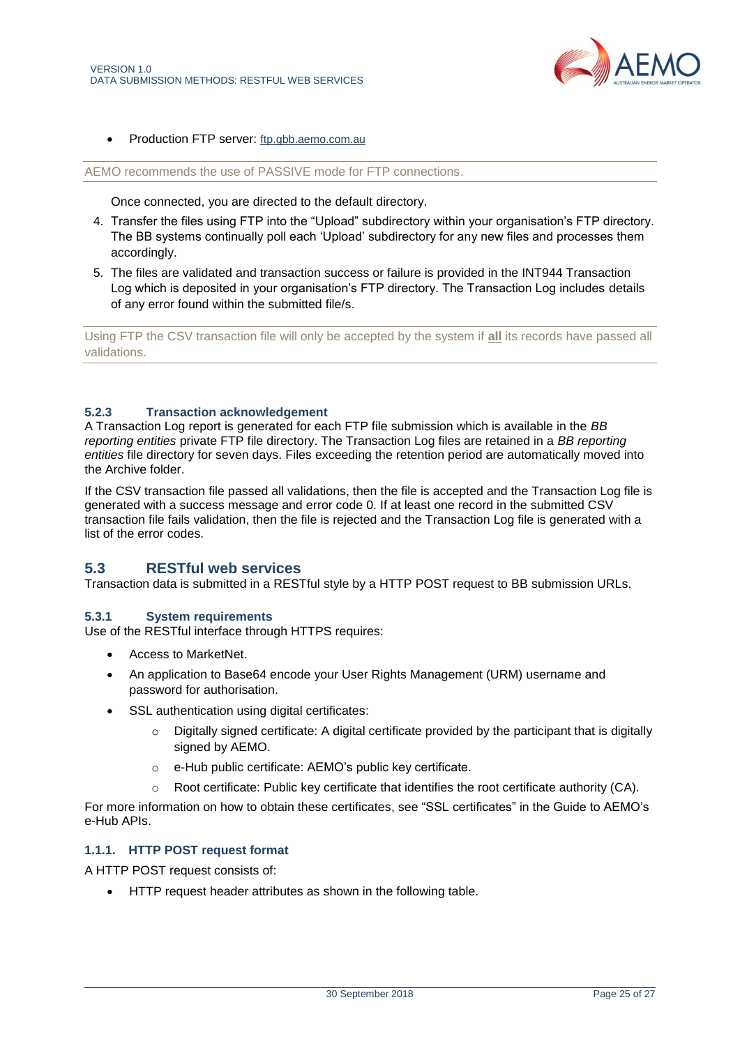

• Production FTP server: [ftp.gbb.aemo.com.au](ftp://ftp.gbb.aemo.com.au/)

AEMO recommends the use of PASSIVE mode for FTP connections.

Once connected, you are directed to the default directory.

- 4. Transfer the files using FTP into the "Upload" subdirectory within your organisation's FTP directory. The BB systems continually poll each 'Upload' subdirectory for any new files and processes them accordingly.
- 5. The files are validated and transaction success or failure is provided in the INT944 Transaction Log which is deposited in your organisation's FTP directory. The Transaction Log includes details of any error found within the submitted file/s.

Using FTP the CSV transaction file will only be accepted by the system if **all** its records have passed all validations.

### **5.2.3 Transaction acknowledgement**

A Transaction Log report is generated for each FTP file submission which is available in the *BB reporting entities* private FTP file directory. The Transaction Log files are retained in a *BB reporting entities* file directory for seven days. Files exceeding the retention period are automatically moved into the Archive folder.

If the CSV transaction file passed all validations, then the file is accepted and the Transaction Log file is generated with a success message and error code 0. If at least one record in the submitted CSV transaction file fails validation, then the file is rejected and the Transaction Log file is generated with a list of the error codes.

# <span id="page-24-0"></span>**5.3 RESTful web services**

Transaction data is submitted in a RESTful style by a HTTP POST request to BB submission URLs.

#### **5.3.1 System requirements**

Use of the RESTful interface through HTTPS requires:

- Access to MarketNet.
- An application to Base64 encode your User Rights Management (URM) username and password for authorisation.
- SSL authentication using digital certificates:
	- $\circ$  Digitally signed certificate: A digital certificate provided by the participant that is digitally signed by AEMO.
	- o e-Hub public certificate: AEMO's public key certificate.
	- $\circ$  Root certificate: Public key certificate that identifies the root certificate authority (CA).

For more information on how to obtain these certificates, see "SSL certificates" in the Guide to AEMO's e-Hub APIs.

## **1.1.1. HTTP POST request format**

A HTTP POST request consists of:

• HTTP request header attributes as shown in the following table.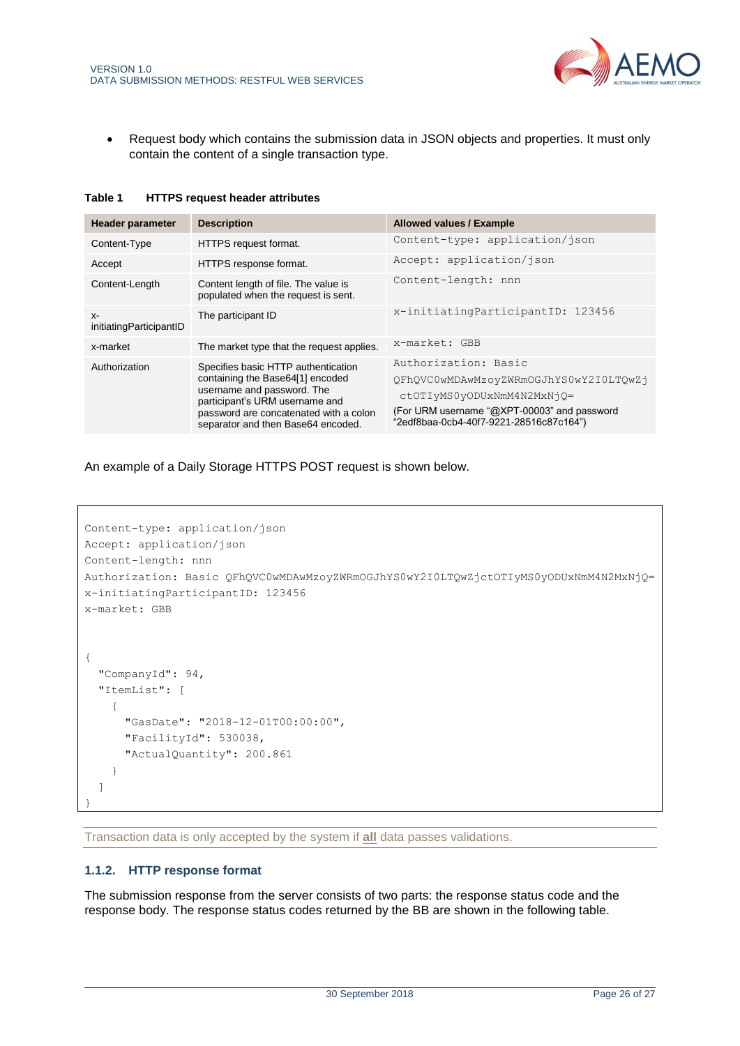

• Request body which contains the submission data in JSON objects and properties. It must only contain the content of a single transaction type.

| Table 1 |  | <b>HTTPS request header attributes</b> |
|---------|--|----------------------------------------|
|         |  |                                        |

| <b>Header parameter</b>         | <b>Description</b>                                                                                                                                                                                                      | <b>Allowed values / Example</b>                                                                                                                                                        |
|---------------------------------|-------------------------------------------------------------------------------------------------------------------------------------------------------------------------------------------------------------------------|----------------------------------------------------------------------------------------------------------------------------------------------------------------------------------------|
| Content-Type                    | HTTPS request format.                                                                                                                                                                                                   | Content-type: application/json                                                                                                                                                         |
| Accept                          | HTTPS response format.                                                                                                                                                                                                  | Accept: application/json                                                                                                                                                               |
| Content-Length                  | Content length of file. The value is<br>populated when the request is sent.                                                                                                                                             | Content-length: nnn                                                                                                                                                                    |
| $X-$<br>initiatingParticipantID | The participant ID                                                                                                                                                                                                      | x-initiatingParticipantID: 123456                                                                                                                                                      |
| x-market                        | The market type that the request applies.                                                                                                                                                                               | x-market: GBB                                                                                                                                                                          |
| Authorization                   | Specifies basic HTTP authentication<br>containing the Base64[1] encoded<br>username and password. The<br>participant's URM username and<br>password are concatenated with a colon<br>separator and then Base64 encoded. | Authorization: Basic<br>QFhQVC0wMDAwMzoyZWRmOGJhYS0wY2I0LTQwZj<br>ctOTIvMS0yODUxNmM4N2MxNjO=<br>(For URM username "@XPT-00003" and password<br>"2edf8baa-0cb4-40f7-9221-28516c87c164") |

An example of a Daily Storage HTTPS POST request is shown below.

```
Content-type: application/json
Accept: application/json
Content-length: nnn
Authorization: Basic QFhQVC0wMDAwMzoyZWRmOGJhYS0wY2I0LTQwZjctOTIyMS0yODUxNmM4N2MxNjQ=
x-initiatingParticipantID: 123456
x-market: GBB 
{
   "CompanyId": 94,
   "ItemList": [
     {
       "GasDate": "2018-12-01T00:00:00",
       "FacilityId": 530038,
       "ActualQuantity": 200.861
     }
   ]
}
```
Transaction data is only accepted by the system if **all** data passes validations.

## **1.1.2. HTTP response format**

The submission response from the server consists of two parts: the response status code and the response body. The response status codes returned by the BB are shown in the following table.